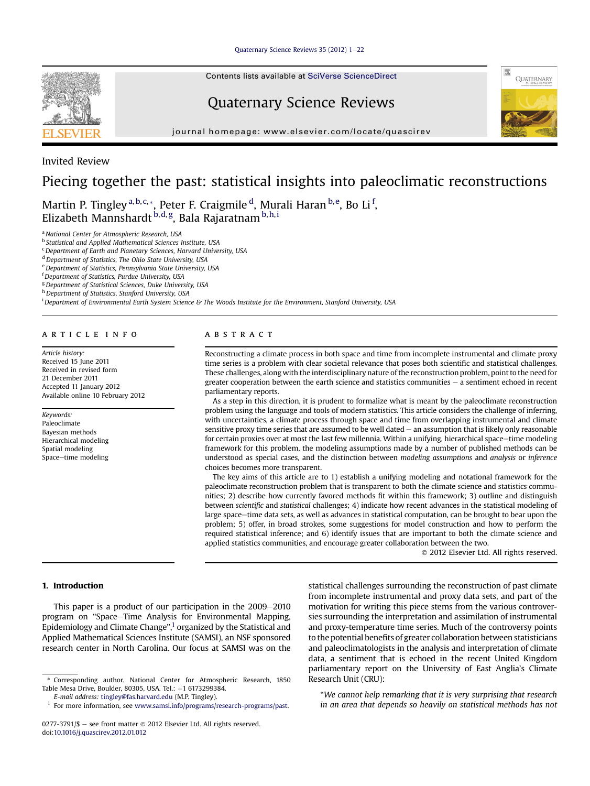Ouaternary Science Reviews 35 (2012) 1-[22](http://dx.doi.org/10.1016/j.quascirev.2012.01.012)

Contents lists available at SciVerse ScienceDirect

# Quaternary Science Reviews

journal homepage: [www.elsevier.com/locate/quascirev](http://www.elsevier.com/locate/quascirev)





# Invited Review

# Piecing together the past: statistical insights into paleoclimatic reconstructions

Martin P. Tingley <sup>a, b, c, \*</sup>, Peter F. Craigmile <sup>d</sup>, Murali Haran <sup>b, e</sup>, Bo Li <sup>f</sup>, Elizabeth Mannshardt <sup>b,d,g</sup>, Bala Rajaratnam <sup>b,h,i</sup>

**b** Statistical and Applied Mathematical Sciences Institute, USA

<sup>c</sup> Department of Earth and Planetary Sciences, Harvard University, USA

<sup>d</sup> Department of Statistics, The Ohio State University, USA

e Department of Statistics, Pennsylvania State University, USA

<sup>f</sup> Department of Statistics, Purdue University, USA

<sup>g</sup> Department of Statistical Sciences, Duke University, USA

h Department of Statistics, Stanford University, USA

i Department of Environmental Earth System Science & The Woods Institute for the Environment, Stanford University, USA

# article info

Article history: Received 15 June 2011 Received in revised form 21 December 2011 Accepted 11 January 2012 Available online 10 February 2012

Keywords: Paleoclimate Bayesian methods Hierarchical modeling Spatial modeling Space-time modeling

# ABSTRACT

Reconstructing a climate process in both space and time from incomplete instrumental and climate proxy time series is a problem with clear societal relevance that poses both scientific and statistical challenges. These challenges, along with the interdisciplinary nature of the reconstruction problem, point to the need for greater cooperation between the earth science and statistics communities  $-$  a sentiment echoed in recent parliamentary reports.

As a step in this direction, it is prudent to formalize what is meant by the paleoclimate reconstruction problem using the language and tools of modern statistics. This article considers the challenge of inferring, with uncertainties, a climate process through space and time from overlapping instrumental and climate sensitive proxy time series that are assumed to be well dated  $-$  an assumption that is likely only reasonable for certain proxies over at most the last few millennia. Within a unifying, hierarchical space-time modeling framework for this problem, the modeling assumptions made by a number of published methods can be understood as special cases, and the distinction between modeling assumptions and analysis or inference choices becomes more transparent.

The key aims of this article are to 1) establish a unifying modeling and notational framework for the paleoclimate reconstruction problem that is transparent to both the climate science and statistics communities; 2) describe how currently favored methods fit within this framework; 3) outline and distinguish between scientific and statistical challenges; 4) indicate how recent advances in the statistical modeling of large space-time data sets, as well as advances in statistical computation, can be brought to bear upon the problem; 5) offer, in broad strokes, some suggestions for model construction and how to perform the required statistical inference; and 6) identify issues that are important to both the climate science and applied statistics communities, and encourage greater collaboration between the two.

2012 Elsevier Ltd. All rights reserved.

# 1. Introduction

This paper is a product of our participation in the  $2009-2010$ program on "Space-Time Analysis for Environmental Mapping, Epidemiology and Climate Change", <sup>1</sup> organized by the Statistical and Applied Mathematical Sciences Institute (SAMSI), an NSF sponsored research center in North Carolina. Our focus at SAMSI was on the

\* Corresponding author. National Center for Atmospheric Research, 1850 Table Mesa Drive, Boulder, 80305, USA. Tel.: +1 6173299384.

statistical challenges surrounding the reconstruction of past climate from incomplete instrumental and proxy data sets, and part of the motivation for writing this piece stems from the various controversies surrounding the interpretation and assimilation of instrumental and proxy-temperature time series. Much of the controversy points to the potential benefits of greater collaboration between statisticians and paleoclimatologists in the analysis and interpretation of climate data, a sentiment that is echoed in the recent United Kingdom parliamentary report on the University of East Anglia's Climate Research Unit (CRU):

"We cannot help remarking that it is very surprising that research in an area that depends so heavily on statistical methods has not

<sup>&</sup>lt;sup>a</sup> National Center for Atmospheric Research, USA

E-mail address: [tingley@fas.harvard.edu](mailto:tingley@fas.harvard.edu) (M.P. Tingley).

<sup>&</sup>lt;sup>1</sup> For more information, see [www.samsi.info/programs/research-programs/past](http://www.samsi.info/programs/research-programs/past).

<sup>0277-3791/\$</sup>  $-$  see front matter  $\odot$  2012 Elsevier Ltd. All rights reserved. doi[:10.1016/j.quascirev.2012.01.012](http://dx.doi.org/10.1016/j.quascirev.2012.01.012)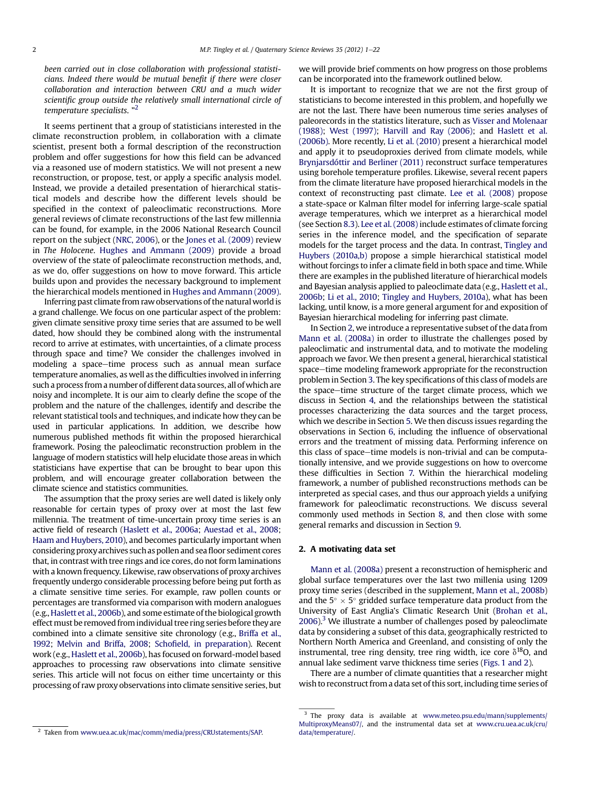<span id="page-1-0"></span>been carried out in close collaboration with professional statisticians. Indeed there would be mutual benefit if there were closer collaboration and interaction between CRU and a much wider scientific group outside the relatively small international circle of temperature specialists. "<sup>2</sup>

It seems pertinent that a group of statisticians interested in the climate reconstruction problem, in collaboration with a climate scientist, present both a formal description of the reconstruction problem and offer suggestions for how this field can be advanced via a reasoned use of modern statistics. We will not present a new reconstruction, or propose, test, or apply a specific analysis model. Instead, we provide a detailed presentation of hierarchical statistical models and describe how the different levels should be specified in the context of paleoclimatic reconstructions. More general reviews of climate reconstructions of the last few millennia can be found, for example, in the 2006 National Research Council report on the subject [\(NRC, 2006](#page-21-0)), or the [Jones et al. \(2009\)](#page-20-0) review in The Holocene. [Hughes and Ammann \(2009\)](#page-20-0) provide a broad overview of the state of paleoclimate reconstruction methods, and, as we do, offer suggestions on how to move forward. This article builds upon and provides the necessary background to implement the hierarchical models mentioned in [Hughes and Ammann \(2009\).](#page-20-0)

Inferring past climate from raw observations of the natural worldis a grand challenge. We focus on one particular aspect of the problem: given climate sensitive proxy time series that are assumed to be well dated, how should they be combined along with the instrumental record to arrive at estimates, with uncertainties, of a climate process through space and time? We consider the challenges involved in modeling a space-time process such as annual mean surface temperature anomalies, as well as the difficulties involved in inferring such a process from a number of different data sources, all of which are noisy and incomplete. It is our aim to clearly define the scope of the problem and the nature of the challenges, identify and describe the relevant statistical tools and techniques, and indicate how they can be used in particular applications. In addition, we describe how numerous published methods fit within the proposed hierarchical framework. Posing the paleoclimatic reconstruction problem in the language of modern statistics will help elucidate those areas in which statisticians have expertise that can be brought to bear upon this problem, and will encourage greater collaboration between the climate science and statistics communities.

The assumption that the proxy series are well dated is likely only reasonable for certain types of proxy over at most the last few millennia. The treatment of time-uncertain proxy time series is an active field of research [\(Haslett et al., 2006a](#page-20-0); [Auestad et al., 2008](#page-19-0); [Haam and Huybers, 2010\)](#page-20-0), and becomes particularly important when considering proxy archives such as pollen and seafloor sediment cores that, in contrast with tree rings and ice cores, do not form laminations with a known frequency. Likewise, raw observations of proxy archives frequently undergo considerable processing before being put forth as a climate sensitive time series. For example, raw pollen counts or percentages are transformed via comparison with modern analogues (e.g., [Haslett et al., 2006b](#page-20-0)), and some estimate of the biological growth effect must be removed from individual tree ring series before they are combined into a climate sensitive site chronology (e.g., [Briffa et al.,](#page-19-0) [1992;](#page-19-0) [Melvin and Briffa, 2008;](#page-21-0) Schofi[eld, in preparation](#page-21-0)). Recent work (e.g., [Haslett et al., 2006b](#page-20-0)), has focused on forward-model based approaches to processing raw observations into climate sensitive series. This article will not focus on either time uncertainty or this processing of raw proxy observations into climate sensitive series, but we will provide brief comments on how progress on those problems can be incorporated into the framework outlined below.

It is important to recognize that we are not the first group of statisticians to become interested in this problem, and hopefully we are not the last. There have been numerous time series analyses of paleorecords in the statistics literature, such as [Visser and Molenaar](#page-21-0) [\(1988\);](#page-21-0) [West \(1997\);](#page-21-0) [Harvill and Ray \(2006\)](#page-20-0); and [Haslett et al.](#page-20-0) [\(2006b\)](#page-20-0). More recently, [Li et al. \(2010\)](#page-20-0) present a hierarchical model and apply it to pseudoproxies derived from climate models, while [Brynjarsdóttir and Berliner \(2011\)](#page-19-0) reconstruct surface temperatures using borehole temperature profiles. Likewise, several recent papers from the climate literature have proposed hierarchical models in the context of reconstructing past climate. [Lee et al. \(2008\)](#page-20-0) propose a state-space or Kalman filter model for inferring large-scale spatial average temperatures, which we interpret as a hierarchical model (see Section [8.3](#page-14-0)). [Lee et al. \(2008\)](#page-20-0) include estimates of climate forcing series in the inference model, and the specification of separate models for the target process and the data. In contrast, [Tingley and](#page-21-0) [Huybers \(2010a,b\)](#page-21-0) propose a simple hierarchical statistical model without forcings to infer a climate field in both space and time. While there are examples in the published literature of hierarchical models and Bayesian analysis applied to paleoclimate data (e.g., [Haslett et al.,](#page-20-0) [2006b](#page-20-0); [Li et al., 2010;](#page-20-0) [Tingley and Huybers, 2010a](#page-21-0)), what has been lacking, until know, is a more general argument for and exposition of Bayesian hierarchical modeling for inferring past climate.

In Section 2, we introduce a representative subset of the data from [Mann et al. \(2008a\)](#page-20-0) in order to illustrate the challenges posed by paleoclimatic and instrumental data, and to motivate the modeling approach we favor. We then present a general, hierarchical statistical space-time modeling framework appropriate for the reconstruction problem in Section [3.](#page-2-0) The key specifications of this class of models are the space-time structure of the target climate process, which we discuss in Section [4](#page-4-0), and the relationships between the statistical processes characterizing the data sources and the target process, which we describe in Section [5.](#page-6-0) We then discuss issues regarding the observations in Section [6](#page-8-0), including the influence of observational errors and the treatment of missing data. Performing inference on this class of space-time models is non-trivial and can be computationally intensive, and we provide suggestions on how to overcome these difficulties in Section [7.](#page-11-0) Within the hierarchical modeling framework, a number of published reconstructions methods can be interpreted as special cases, and thus our approach yields a unifying framework for paleoclimatic reconstructions. We discuss several commonly used methods in Section [8](#page-12-0), and then close with some general remarks and discussion in Section [9.](#page-18-0)

# 2. A motivating data set

[Mann et al. \(2008a\)](#page-20-0) present a reconstruction of hemispheric and global surface temperatures over the last two millenia using 1209 proxy time series (described in the supplement, [Mann et al., 2008b\)](#page-21-0) and the  $5^{\circ} \times 5^{\circ}$  gridded surface temperature data product from the University of Fast Apglia's Climatic Pesearch Unit (Broban et al. University of East Anglia's Climatic Research Unit ([Brohan et al.,](#page-19-0)  $2006$ ).<sup>3</sup> We illustrate a number of challenges posed by paleoclimate data by considering a subset of this data, geographically restricted to Northern North America and Greenland, and consisting of only the instrumental, tree ring density, tree ring width, ice core  $\delta^{18}O$ , and annual lake sediment varve thickness time series [\(Figs. 1 and 2\)](#page-2-0).

There are a number of climate quantities that a researcher might wish to reconstruct from a data set of this sort, including time series of

 $3$  The proxy data is available at [www.meteo.psu.edu/mann/supplements/](http://www.meteo.psu.edu/mann/supplements/MultiproxyMeans07/) [MultiproxyMeans07/](http://www.meteo.psu.edu/mann/supplements/MultiproxyMeans07/), and the instrumental data set at [www.cru.uea.ac.uk/cru/](http://www.cru.uea.ac.uk/cru/data/temperature/) [data/temperature/](http://www.cru.uea.ac.uk/cru/data/temperature/).

<sup>2</sup> Taken from [www.uea.ac.uk/mac/comm/media/press/CRUstatements/SAP.](http://www.uea.ac.uk/mac/comm/media/press/CRUstatements/SAP)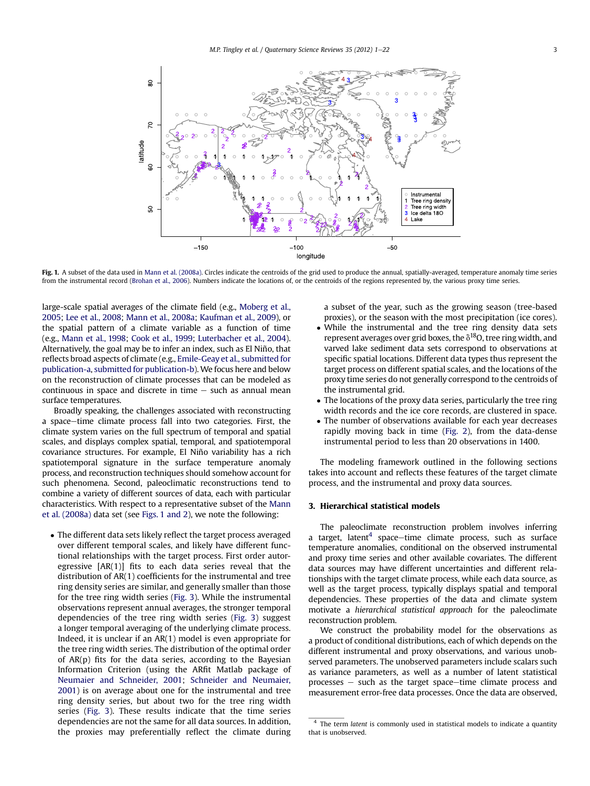<span id="page-2-0"></span>

Fig. 1. A subset of the data used in [Mann et al. \(2008a\)](#page-20-0). Circles indicate the centroids of the grid used to produce the annual, spatially-averaged, temperature anomaly time series from the instrumental record [\(Brohan et al., 2006](#page-19-0)). Numbers indicate the locations of, or the centroids of the regions represented by, the various proxy time series.

large-scale spatial averages of the climate field (e.g., [Moberg et al.,](#page-21-0) [2005](#page-21-0); [Lee et al., 2008](#page-20-0); [Mann et al., 2008a;](#page-20-0) [Kaufman et al., 2009](#page-20-0)), or the spatial pattern of a climate variable as a function of time (e.g., [Mann et al., 1998](#page-20-0); [Cook et al., 1999](#page-19-0); [Luterbacher et al., 2004\)](#page-20-0). Alternatively, the goal may be to infer an index, such as El Niño, that reflects broad aspects of climate (e.g., [Emile-Geay et al., submitted for](#page-20-0) [publication-a,](#page-20-0) [submitted for publication-b\)](#page-20-0).We focus here and below on the reconstruction of climate processes that can be modeled as continuous in space and discrete in time  $-$  such as annual mean surface temperatures.

Broadly speaking, the challenges associated with reconstructing a space-time climate process fall into two categories. First, the climate system varies on the full spectrum of temporal and spatial scales, and displays complex spatial, temporal, and spatiotemporal covariance structures. For example, El Niño variability has a rich spatiotemporal signature in the surface temperature anomaly process, and reconstruction techniques should somehow account for such phenomena. Second, paleoclimatic reconstructions tend to combine a variety of different sources of data, each with particular characteristics. With respect to a representative subset of the [Mann](#page-20-0) [et al. \(2008a\)](#page-20-0) data set (see Figs. 1 and 2), we note the following:

 The different data sets likely reflect the target process averaged over different temporal scales, and likely have different functional relationships with the target process. First order autoregressive [AR(1)] fits to each data series reveal that the distribution of AR(1) coefficients for the instrumental and tree ring density series are similar, and generally smaller than those for the tree ring width series ([Fig. 3](#page-3-0)). While the instrumental observations represent annual averages, the stronger temporal dependencies of the tree ring width series [\(Fig. 3](#page-3-0)) suggest a longer temporal averaging of the underlying climate process. Indeed, it is unclear if an AR(1) model is even appropriate for the tree ring width series. The distribution of the optimal order of  $AR(p)$  fits for the data series, according to the Bayesian Information Criterion (using the ARfit Matlab package of [Neumaier and Schneider, 2001](#page-21-0); [Schneider and Neumaier,](#page-21-0) [2001](#page-21-0)) is on average about one for the instrumental and tree ring density series, but about two for the tree ring width series ([Fig. 3\)](#page-3-0). These results indicate that the time series dependencies are not the same for all data sources. In addition, the proxies may preferentially reflect the climate during

a subset of the year, such as the growing season (tree-based proxies), or the season with the most precipitation (ice cores).

- While the instrumental and the tree ring density data sets represent averages over grid boxes, the  $\delta^{18}$ O, tree ring width, and varved lake sediment data sets correspond to observations at specific spatial locations. Different data types thus represent the target process on different spatial scales, and the locations of the proxy time series do not generally correspond to the centroids of the instrumental grid.
- The locations of the proxy data series, particularly the tree ring width records and the ice core records, are clustered in space.
- The number of observations available for each year decreases rapidly moving back in time ([Fig. 2\)](#page-3-0), from the data-dense instrumental period to less than 20 observations in 1400.

The modeling framework outlined in the following sections takes into account and reflects these features of the target climate process, and the instrumental and proxy data sources.

# 3. Hierarchical statistical models

The paleoclimate reconstruction problem involves inferring a target, latent<sup>4</sup> space-time climate process, such as surface temperature anomalies, conditional on the observed instrumental and proxy time series and other available covariates. The different data sources may have different uncertainties and different relationships with the target climate process, while each data source, as well as the target process, typically displays spatial and temporal dependencies. These properties of the data and climate system motivate a hierarchical statistical approach for the paleoclimate reconstruction problem.

We construct the probability model for the observations as a product of conditional distributions, each of which depends on the different instrumental and proxy observations, and various unobserved parameters. The unobserved parameters include scalars such as variance parameters, as well as a number of latent statistical  $processes - such as the target space-time climate process and$ measurement error-free data processes. Once the data are observed,

<sup>&</sup>lt;sup>4</sup> The term latent is commonly used in statistical models to indicate a quantity that is unobserved.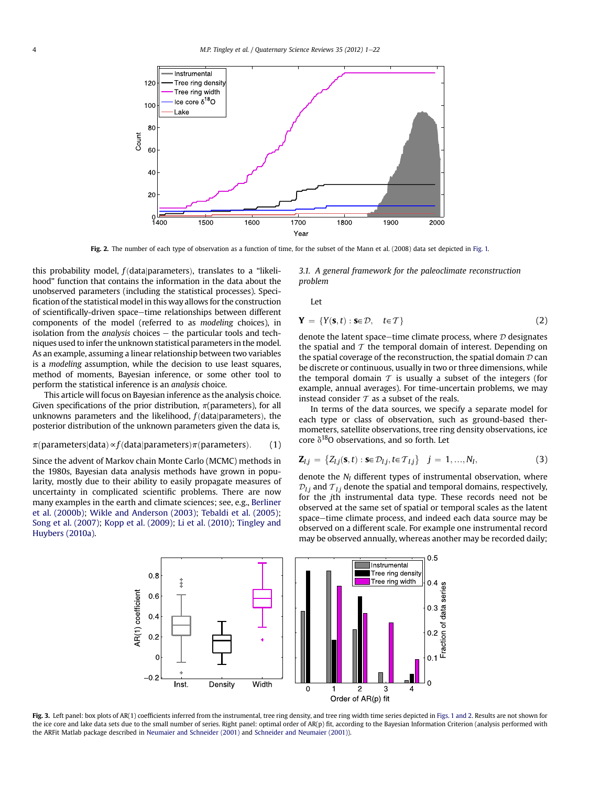<span id="page-3-0"></span>

Fig. 2. The number of each type of observation as a function of time, for the subset of the Mann et al. (2008) data set depicted in [Fig. 1.](#page-2-0)

this probability model,  $f$ (data|parameters), translates to a "likelihood" function that contains the information in the data about the unobserved parameters (including the statistical processes). Specification of the statistical model in this way allows for the construction of scientifically-driven space-time relationships between different components of the model (referred to as modeling choices), in isolation from the *analysis* choices  $-$  the particular tools and techniques used to infer the unknown statistical parameters in the model. As an example, assuming a linear relationship between two variables is a modeling assumption, while the decision to use least squares, method of moments, Bayesian inference, or some other tool to perform the statistical inference is an analysis choice.

This article will focus on Bayesian inference as the analysis choice. Given specifications of the prior distribution,  $\pi$ (parameters), for all unknowns parameters and the likelihood,  $f$ (data|parameters), the posterior distribution of the unknown parameters given the data is,

# $\pi$ (parameters|data)  $\propto f$ (data|parameters) $\pi$ (parameters). (1)

Since the advent of Markov chain Monte Carlo (MCMC) methods in the 1980s, Bayesian data analysis methods have grown in popularity, mostly due to their ability to easily propagate measures of uncertainty in complicated scientific problems. There are now many examples in the earth and climate sciences; see, e.g., [Berliner](#page-19-0) [et al. \(2000b\);](#page-19-0) [Wikle and Anderson \(2003\);](#page-21-0) [Tebaldi et al. \(2005\)](#page-21-0); [Song et al. \(2007\)](#page-21-0); [Kopp et al. \(2009\)](#page-20-0); [Li et al. \(2010\)](#page-20-0); [Tingley and](#page-21-0) [Huybers \(2010a\)](#page-21-0).

3.1. A general framework for the paleoclimate reconstruction problem

Let

$$
\mathbf{Y} = \{Y(\mathbf{s}, t) : \mathbf{s} \in \mathcal{D}, \quad t \in \mathcal{T}\}\tag{2}
$$

denote the latent space-time climate process, where  $D$  designates the spatial and  $T$  the temporal domain of interest. Depending on the spatial coverage of the reconstruction, the spatial domain  $D$  can be discrete or continuous, usually in two or three dimensions, while the temporal domain  $T$  is usually a subset of the integers (for example, annual averages). For time-uncertain problems, we may instead consider  $\tau$  as a subset of the reals.

In terms of the data sources, we specify a separate model for each type or class of observation, such as ground-based thermometers, satellite observations, tree ring density observations, ice core  $\delta^{18}$ O observations, and so forth. Let

$$
\mathbf{Z}_{I,j} = \{Z_{I,j}(\mathbf{s},t) : \mathbf{s} \in \mathcal{D}_{I,j}, t \in \mathcal{T}_{I,j}\} \quad j = 1,...,N_I,
$$
\n(3)

denote the  $N_I$  different types of instrumental observation, where  $\mathcal{D}_{1i}$  and  $\mathcal{T}_{1i}$  denote the spatial and temporal domains, respectively, for the jth instrumental data type. These records need not be observed at the same set of spatial or temporal scales as the latent space-time climate process, and indeed each data source may be observed on a different scale. For example one instrumental record may be observed annually, whereas another may be recorded daily;



Fig. 3. Left panel: box plots of AR(1) coefficients inferred from the instrumental, tree ring density, and tree ring width time series depicted in [Figs. 1 and 2](#page-2-0). Results are not shown for the ice core and lake data sets due to the small number of series. Right panel: optimal order of AR(p) fit, according to the Bayesian Information Criterion (analysis performed with the ARFit Matlab package described in [Neumaier and Schneider \(2001\)](#page-21-0) and [Schneider and Neumaier \(2001\)](#page-21-0)).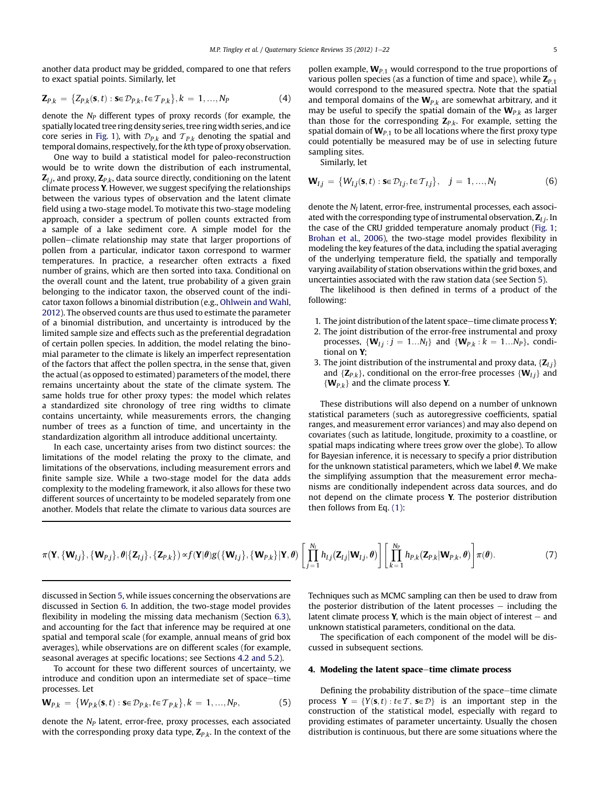<span id="page-4-0"></span>another data product may be gridded, compared to one that refers to exact spatial points. Similarly, let

$$
\mathbf{Z}_{P,k} = \{Z_{P,k}(\mathbf{s},t) : \mathbf{s} \in \mathcal{D}_{P,k}, t \in \mathcal{T}_{P,k}\}, k = 1, ..., N_P
$$
(4)

denote the  $N_P$  different types of proxy records (for example, the spatially located tree ring density series, tree ringwidth series, and ice core series in [Fig. 1\)](#page-2-0), with  $\mathcal{D}_{P,k}$  and  $\mathcal{T}_{P,k}$  denoting the spatial and temporal domains, respectively, for the kth type of proxy observation.

One way to build a statistical model for paleo-reconstruction would be to write down the distribution of each instrumental,  $\mathbf{Z}_{L,i}$ , and proxy,  $\mathbf{Z}_{P,k}$ , data source directly, conditioning on the latent climate process Y. However, we suggest specifying the relationships between the various types of observation and the latent climate field using a two-stage model. To motivate this two-stage modeling approach, consider a spectrum of pollen counts extracted from a sample of a lake sediment core. A simple model for the pollen–climate relationship may state that larger proportions of pollen from a particular, indicator taxon correspond to warmer temperatures. In practice, a researcher often extracts a fixed number of grains, which are then sorted into taxa. Conditional on the overall count and the latent, true probability of a given grain belonging to the indicator taxon, the observed count of the indicator taxon follows a binomial distribution (e.g., [Ohlwein and Wahl,](#page-21-0) [2012\)](#page-21-0). The observed counts are thus used to estimate the parameter of a binomial distribution, and uncertainty is introduced by the limited sample size and effects such as the preferential degradation of certain pollen species. In addition, the model relating the binomial parameter to the climate is likely an imperfect representation of the factors that affect the pollen spectra, in the sense that, given the actual (as opposed to estimated) parameters of the model, there remains uncertainty about the state of the climate system. The same holds true for other proxy types: the model which relates a standardized site chronology of tree ring widths to climate contains uncertainty, while measurements errors, the changing number of trees as a function of time, and uncertainty in the standardization algorithm all introduce additional uncertainty.

In each case, uncertainty arises from two distinct sources: the limitations of the model relating the proxy to the climate, and limitations of the observations, including measurement errors and finite sample size. While a two-stage model for the data adds complexity to the modeling framework, it also allows for these two different sources of uncertainty to be modeled separately from one another. Models that relate the climate to various data sources are pollen example,  $W_{P,1}$  would correspond to the true proportions of various pollen species (as a function of time and space), while  $\mathbb{Z}_{P,1}$ would correspond to the measured spectra. Note that the spatial and temporal domains of the  $W_{P,k}$  are somewhat arbitrary, and it may be useful to specify the spatial domain of the  $W_{P,k}$  as larger than those for the corresponding  $\mathbf{Z}_{P,k}$ . For example, setting the spatial domain of  $W_{P,1}$  to be all locations where the first proxy type could potentially be measured may be of use in selecting future sampling sites.

Similarly, let

$$
\mathbf{W}_{I,j} = \{W_{I,j}(\mathbf{s},t) : \mathbf{s} \in \mathcal{D}_{I,j}, t \in \mathcal{T}_{I,j}\}, \quad j = 1,...,N_I
$$
 (6)

denote the  $N_I$  latent, error-free, instrumental processes, each associated with the corresponding type of instrumental observation,  $Z_{i,j}$ . In the case of the CRU gridded temperature anomaly product [\(Fig. 1;](#page-2-0) [Brohan et al., 2006\)](#page-19-0), the two-stage model provides flexibility in modeling the key features of the data, including the spatial averaging of the underlying temperature field, the spatially and temporally varying availability of station observations within the grid boxes, and uncertainties associated with the raw station data (see Section [5\)](#page-6-0).

The likelihood is then defined in terms of a product of the following:

- 1. The joint distribution of the latent space-time climate process  $Y$ ;
- 2. The joint distribution of the error-free instrumental and proxy processes,  $\{W_{I,j} : j = 1...N_I\}$  and  $\{W_{P,k} : k = 1...N_P\}$ , conditional on Y;
- 3. The joint distribution of the instrumental and proxy data,  $\{Z_{I,i}\}$ and  $\{Z_{P,k}\}\$ , conditional on the error-free processes  $\{W_{I,j}\}\$ and  $\{W_{P,k}\}\$  and the climate process Y.

These distributions will also depend on a number of unknown statistical parameters (such as autoregressive coefficients, spatial ranges, and measurement error variances) and may also depend on covariates (such as latitude, longitude, proximity to a coastline, or spatial maps indicating where trees grow over the globe). To allow for Bayesian inference, it is necessary to specify a prior distribution for the unknown statistical parameters, which we label  $\theta$ . We make the simplifying assumption that the measurement error mechanisms are conditionally independent across data sources, and do not depend on the climate process Y. The posterior distribution then follows from Eq. [\(1\)](#page-3-0):

$$
\pi(\mathbf{Y}, {\{\mathbf{W}_{I,j}\}}, {\{\mathbf{W}_{P,j}\}}, \theta | {\{\mathbf{Z}_{I,j}\}}, {\{\mathbf{Z}_{P,k}\}}) \propto f(\mathbf{Y}|\theta)g({{\{\mathbf{W}_{I,j}\}}, {\{\mathbf{W}_{P,k}\}}|\mathbf{Y}, \theta)} \left[\prod_{j=1}^{N_I} h_{I,j}(\mathbf{Z}_{I,j}|\mathbf{W}_{I,j}, \theta)\right] \left[\prod_{k=1}^{N_P} h_{P,k}(\mathbf{Z}_{P,k}|\mathbf{W}_{P,k}, \theta)\right] \pi(\theta).
$$
\n(7)

discussed in Section [5,](#page-6-0) while issues concerning the observations are discussed in Section [6](#page-8-0). In addition, the two-stage model provides flexibility in modeling the missing data mechanism (Section [6.3\)](#page-9-0), and accounting for the fact that inference may be required at one spatial and temporal scale (for example, annual means of grid box averages), while observations are on different scales (for example, seasonal averages at specific locations; see Sections [4.2 and 5.2\)](#page-6-0).

To account for these two different sources of uncertainty, we introduce and condition upon an intermediate set of space-time processes. Let

$$
\mathbf{W}_{P,k} = \{ W_{P,k}(\mathbf{s},t) : \mathbf{s} \in \mathcal{D}_{P,k}, t \in \mathcal{T}_{P,k} \}, k = 1, ..., N_P,
$$
 (5)

denote the  $N_P$  latent, error-free, proxy processes, each associated with the corresponding proxy data type,  $\mathbf{Z}_{P,k}$ . In the context of the Techniques such as MCMC sampling can then be used to draw from the posterior distribution of the latent processes  $-$  including the latent climate process  $Y$ , which is the main object of interest  $-$  and unknown statistical parameters, conditional on the data.

The specification of each component of the model will be discussed in subsequent sections.

#### 4. Modeling the latent space-time climate process

Defining the probability distribution of the space-time climate process  $Y = \{Y(s,t) : t \in T, s \in \mathcal{D}\}\$ is an important step in the construction of the statistical model, especially with regard to providing estimates of parameter uncertainty. Usually the chosen distribution is continuous, but there are some situations where the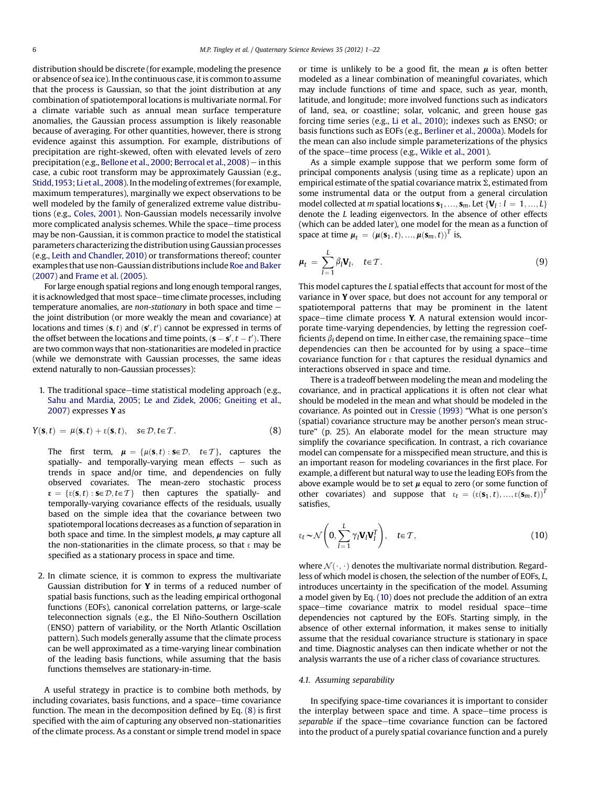<span id="page-5-0"></span>distribution should be discrete (for example, modeling the presence or absence of sea ice). In the continuous case, it is common to assume that the process is Gaussian, so that the joint distribution at any combination of spatiotemporal locations is multivariate normal. For a climate variable such as annual mean surface temperature anomalies, the Gaussian process assumption is likely reasonable because of averaging. For other quantities, however, there is strong evidence against this assumption. For example, distributions of precipitation are right-skewed, often with elevated levels of zero precipitation (e.g., [Bellone et al., 2000;](#page-19-0) [Berrocal et al., 2008\)](#page-19-0) - in this case, a cubic root transform may be approximately Gaussian (e.g., [Stidd,1953](#page-21-0); [Li et al., 2008\)](#page-20-0). In the modeling of extremes (for example, maximum temperatures), marginally we expect observations to be well modeled by the family of generalized extreme value distributions (e.g., [Coles, 2001](#page-19-0)). Non-Gaussian models necessarily involve more complicated analysis schemes. While the space-time process may be non-Gaussian, it is common practice to model the statistical parameters characterizing the distribution using Gaussian processes (e.g., [Leith and Chandler, 2010](#page-20-0)) or transformations thereof; counter examples that use non-Gaussian distributions include [Roe and Baker](#page-21-0) [\(2007\)](#page-21-0) and [Frame et al. \(2005\)](#page-20-0).

For large enough spatial regions and long enough temporal ranges, it is acknowledged that most space-time climate processes, including temperature anomalies, are non-stationary in both space and time  $$ the joint distribution (or more weakly the mean and covariance) at locations and times  $(s, t)$  and  $(s', t')$  cannot be expressed in terms of<br>the offset between the locations and time points  $(s - s' + t')$ . There the offset between the locations and time points,  $(\mathbf{s} - \mathbf{s}', t - t')$ . There<br>are two common ways that non-stationarities are modeled in practice are two common ways that non-stationarities are modeled in practice (while we demonstrate with Gaussian processes, the same ideas extend naturally to non-Gaussian processes):

# 1. The traditional space-time statistical modeling approach (e.g., [Sahu and Mardia, 2005](#page-21-0); [Le and Zidek, 2006;](#page-20-0) [Gneiting et al.,](#page-20-0) [2007](#page-20-0)) expresses Y as

$$
Y(\mathbf{s},t) = \mu(\mathbf{s},t) + \varepsilon(\mathbf{s},t), \quad s \in \mathcal{D}, t \in \mathcal{T}.
$$
 (8)

The first term,  $\mu = {\mu(\mathbf{s},t): \mathbf{s} \in \mathcal{D}, \quad t \in \mathcal{T}}$ , captures the spatially- and temporally-varying mean effects  $-$  such as trends in space and/or time, and dependencies on fully observed covariates. The mean-zero stochastic process  $\mathbf{s} = {\mathbf{s}(\mathbf{s}, t) : \mathbf{s} \in \mathcal{D}, t \in \mathcal{T}}$  then captures the spatially- and temporally-varying covariance effects of the residuals, usually based on the simple idea that the covariance between two spatiotemporal locations decreases as a function of separation in both space and time. In the simplest models,  $\mu$  may capture all the non-stationarities in the climate process, so that  $\epsilon$  may be specified as a stationary process in space and time.

2. In climate science, it is common to express the multivariate Gaussian distribution for Y in terms of a reduced number of spatial basis functions, such as the leading empirical orthogonal functions (EOFs), canonical correlation patterns, or large-scale teleconnection signals (e.g., the El Niño-Southern Oscillation (ENSO) pattern of variability, or the North Atlantic Oscillation pattern). Such models generally assume that the climate process can be well approximated as a time-varying linear combination of the leading basis functions, while assuming that the basis functions themselves are stationary-in-time.

A useful strategy in practice is to combine both methods, by including covariates, basis functions, and a space-time covariance function. The mean in the decomposition defined by Eq. (8) is first specified with the aim of capturing any observed non-stationarities of the climate process. As a constant or simple trend model in space or time is unlikely to be a good fit, the mean  $\mu$  is often better modeled as a linear combination of meaningful covariates, which may include functions of time and space, such as year, month, latitude, and longitude; more involved functions such as indicators of land, sea, or coastline; solar, volcanic, and green house gas forcing time series (e.g., [Li et al., 2010\)](#page-20-0); indexes such as ENSO; or basis functions such as EOFs (e.g., [Berliner et al., 2000a\)](#page-19-0). Models for the mean can also include simple parameterizations of the physics of the space-time process (e.g., [Wikle et al., 2001\)](#page-21-0).

As a simple example suppose that we perform some form of principal components analysis (using time as a replicate) upon an empirical estimate of the spatial covariance matrix  $\hat{\Sigma}$ , estimated from some instrumental data or the output from a general circulation model collected at m spatial locations  $s_1, ..., s_m$ . Let  $\{V_l : l = 1, ..., L\}$ denote the L leading eigenvectors. In the absence of other effects (which can be added later), one model for the mean as a function of space at time  $\boldsymbol{\mu}_t = (\boldsymbol{\mu}(\mathbf{s}_1,t), ..., \boldsymbol{\mu}(\mathbf{s}_m,t))^T$  is,

$$
\mu_t = \sum_{l=1}^L \beta_l \mathbf{V}_l, \quad t \in \mathcal{T}.
$$
\n(9)

This model captures the L spatial effects that account for most of the variance in Y over space, but does not account for any temporal or spatiotemporal patterns that may be prominent in the latent space-time climate process  $Y$ . A natural extension would incorporate time-varying dependencies, by letting the regression coefficients  $\beta_l$  depend on time. In either case, the remaining space-time dependencies can then be accounted for by using a space-time covariance function for  $\epsilon$  that captures the residual dynamics and interactions observed in space and time.

There is a tradeoff between modeling the mean and modeling the covariance, and in practical applications it is often not clear what should be modeled in the mean and what should be modeled in the covariance. As pointed out in [Cressie \(1993\)](#page-19-0) "What is one person's (spatial) covariance structure may be another person's mean structure" (p. 25). An elaborate model for the mean structure may simplify the covariance specification. In contrast, a rich covariance model can compensate for a misspecified mean structure, and this is an important reason for modeling covariances in the first place. For example, a different but natural way to use the leading EOFs from the above example would be to set  $\mu$  equal to zero (or some function of other covariates) and suppose that  $\varepsilon_t = (\varepsilon(\mathbf{s}_1,t), ..., \varepsilon(\mathbf{s}_m,t))^T$ satisfies,

$$
\varepsilon_t \sim \mathcal{N}\left(0, \sum_{l=1}^L \gamma_l \mathbf{V}_l \mathbf{V}_l^T\right), \quad t \in \mathcal{T}, \tag{10}
$$

where  $\mathcal{N}(\cdot, \cdot)$  denotes the multivariate normal distribution. Regardless of which model is chosen, the selection of the number of EOFs, L, introduces uncertainty in the specification of the model. Assuming a model given by Eq. (10) does not preclude the addition of an extra space-time covariance matrix to model residual space-time dependencies not captured by the EOFs. Starting simply, in the absence of other external information, it makes sense to initially assume that the residual covariance structure is stationary in space and time. Diagnostic analyses can then indicate whether or not the analysis warrants the use of a richer class of covariance structures.

# 4.1. Assuming separability

In specifying space-time covariances it is important to consider the interplay between space and time. A space-time process is separable if the space-time covariance function can be factored into the product of a purely spatial covariance function and a purely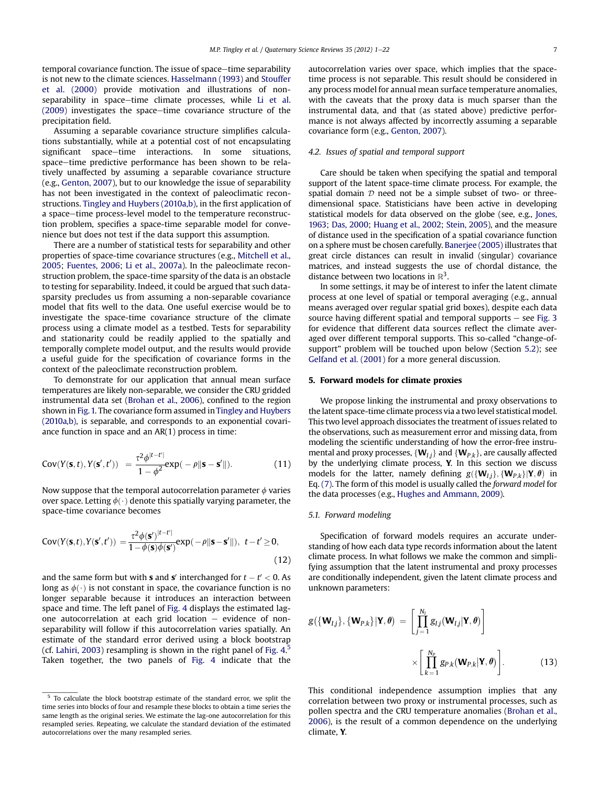<span id="page-6-0"></span>temporal covariance function. The issue of space-time separability is not new to the climate sciences. [Hasselmann \(1993\)](#page-20-0) and [Stouffer](#page-21-0) [et al. \(2000\)](#page-21-0) provide motivation and illustrations of non-separability in space-time climate processes, while [Li et al.](#page-20-0)  $(2009)$  investigates the space-time covariance structure of the precipitation field.

Assuming a separable covariance structure simplifies calculations substantially, while at a potential cost of not encapsulating significant space-time interactions. In some situations, space-time predictive performance has been shown to be relatively unaffected by assuming a separable covariance structure (e.g., [Genton, 2007](#page-20-0)), but to our knowledge the issue of separability has not been investigated in the context of paleoclimatic reconstructions. [Tingley and Huybers \(2010a,b\),](#page-21-0) in the first application of a space-time process-level model to the temperature reconstruction problem, specifies a space-time separable model for convenience but does not test if the data support this assumption.

There are a number of statistical tests for separability and other properties of space-time covariance structures (e.g., [Mitchell et al.,](#page-21-0) [2005;](#page-21-0) [Fuentes, 2006](#page-20-0); [Li et al., 2007a\)](#page-20-0). In the paleoclimate reconstruction problem, the space-time sparsity of the data is an obstacle to testing for separability. Indeed, it could be argued that such datasparsity precludes us from assuming a non-separable covariance model that fits well to the data. One useful exercise would be to investigate the space-time covariance structure of the climate process using a climate model as a testbed. Tests for separability and stationarity could be readily applied to the spatially and temporally complete model output, and the results would provide a useful guide for the specification of covariance forms in the context of the paleoclimate reconstruction problem.

To demonstrate for our application that annual mean surface temperatures are likely non-separable, we consider the CRU gridded instrumental data set [\(Brohan et al., 2006](#page-19-0)), confined to the region shown in [Fig. 1.](#page-2-0) The covariance form assumed in [Tingley and Huybers](#page-21-0) [\(2010a,b\),](#page-21-0) is separable, and corresponds to an exponential covariance function in space and an AR(1) process in time:

$$
Cov(Y(\mathbf{s},t), Y(\mathbf{s}',t')) = \frac{\tau^2 \phi^{|t-t'|}}{1 - \phi^2} exp(-\rho \|\mathbf{s} - \mathbf{s}'\|).
$$
 (11)

Now suppose that the temporal autocorrelation parameter  $\phi$  varies over space. Letting  $\phi(\cdot)$  denote this spatially varying parameter, the space-time covariance becomes

$$
Cov(Y(\mathbf{s},t), Y(\mathbf{s}',t')) = \frac{\tau^2 \phi(\mathbf{s}')^{|t-t'|}}{1 - \phi(\mathbf{s})\phi(\mathbf{s}')}\exp(-\rho ||\mathbf{s} - \mathbf{s}'||), \ t - t' \ge 0,
$$
\n(12)

and the same form but with **s** and **s'** interchanged for  $t - t' < 0$ . As long as  $\phi(\cdot)$  is not constant in space, the covariance function is no longer separable because it introduces an interaction between space and time. The left panel of [Fig. 4](#page-7-0) displays the estimated lagone autocorrelation at each grid location  $-$  evidence of nonseparability will follow if this autocorrelation varies spatially. An estimate of the standard error derived using a block bootstrap (cf. [Lahiri, 2003\)](#page-20-0) resampling is shown in the right panel of Fig.  $4<sup>5</sup>$ Taken together, the two panels of [Fig. 4](#page-7-0) indicate that the autocorrelation varies over space, which implies that the spacetime process is not separable. This result should be considered in any process model for annual mean surface temperature anomalies, with the caveats that the proxy data is much sparser than the instrumental data, and that (as stated above) predictive performance is not always affected by incorrectly assuming a separable covariance form (e.g., [Genton, 2007](#page-20-0)).

## 4.2. Issues of spatial and temporal support

Care should be taken when specifying the spatial and temporal support of the latent space-time climate process. For example, the spatial domain  $D$  need not be a simple subset of two- or threedimensional space. Statisticians have been active in developing statistical models for data observed on the globe (see, e.g., [Jones,](#page-20-0) [1963;](#page-20-0) [Das, 2000;](#page-19-0) [Huang et al., 2002](#page-20-0); [Stein, 2005](#page-21-0)), and the measure of distance used in the specification of a spatial covariance function on a sphere must be chosen carefully. [Banerjee \(2005\)](#page-19-0) illustrates that great circle distances can result in invalid (singular) covariance matrices, and instead suggests the use of chordal distance, the distance between two locations in  $\mathbb{R}^3$ .

In some settings, it may be of interest to infer the latent climate process at one level of spatial or temporal averaging (e.g., annual means averaged over regular spatial grid boxes), despite each data source having different spatial and temporal supports  $-$  see [Fig. 3](#page-3-0) for evidence that different data sources reflect the climate averaged over different temporal supports. This so-called "change-ofsupport" problem will be touched upon below (Section [5.2](#page-8-0)); see [Gelfand et al. \(2001\)](#page-20-0) for a more general discussion.

# 5. Forward models for climate proxies

We propose linking the instrumental and proxy observations to the latent space-time climate process via a two level statistical model. This two level approach dissociates the treatment of issues related to the observations, such as measurement error and missing data, from modeling the scientific understanding of how the error-free instrumental and proxy processes,  $\{W_{1,i}\}\$  and  $\{W_{P,k}\}\$ , are causally affected by the underlying climate process, Y. In this section we discuss models for the latter, namely defining  $g({\bf{W}}_{I,i}, {\bf{W}}_{P,k} | {\bf{Y}}, {\boldsymbol{\theta}})$  in Eq. [\(7\)](#page-4-0). The form of this model is usually called the forward model for the data processes (e.g., [Hughes and Ammann, 2009\)](#page-20-0).

#### 5.1. Forward modeling

Specification of forward models requires an accurate understanding of how each data type records information about the latent climate process. In what follows we make the common and simplifying assumption that the latent instrumental and proxy processes are conditionally independent, given the latent climate process and unknown parameters:

$$
g(\{\mathbf{W}_{I,j}\}, {\{\mathbf{W}_{P,k}\}}|\mathbf{Y}, \theta) = \left[\prod_{j=1}^{N_I} g_{I,j}(\mathbf{W}_{I,j}|\mathbf{Y}, \theta)\right] \times \left[\prod_{k=1}^{N_P} g_{P,k}(\mathbf{W}_{P,k}|\mathbf{Y}, \theta)\right].
$$
 (13)

This conditional independence assumption implies that any correlation between two proxy or instrumental processes, such as pollen spectra and the CRU temperature anomalies [\(Brohan et al.,](#page-19-0) [2006\)](#page-19-0), is the result of a common dependence on the underlying climate, Y.

 $5$  To calculate the block bootstrap estimate of the standard error, we split the time series into blocks of four and resample these blocks to obtain a time series the same length as the original series. We estimate the lag-one autocorrelation for this resampled series. Repeating, we calculate the standard deviation of the estimated autocorrelations over the many resampled series.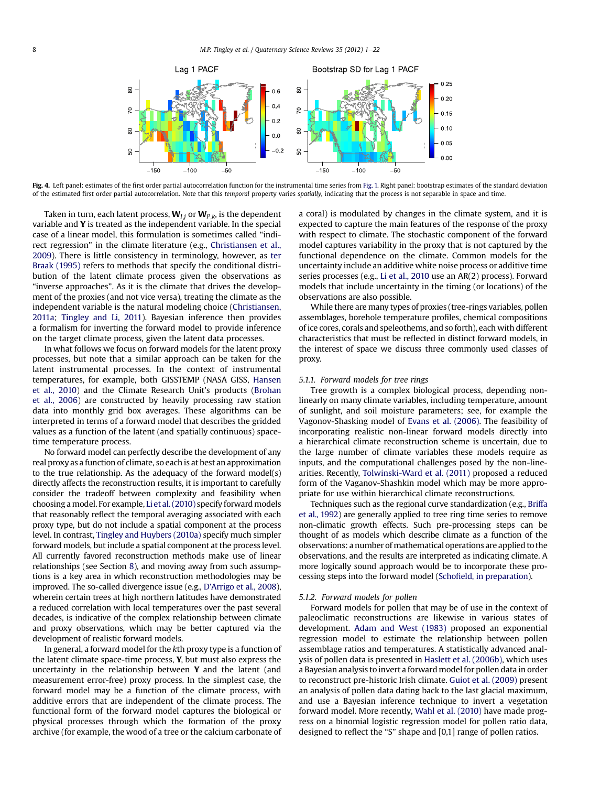<span id="page-7-0"></span>

Fig. 4. Left panel: estimates of the first order partial autocorrelation function for the instrumental time series from [Fig. 1.](#page-2-0) Right panel: bootstrap estimates of the standard deviation of the estimated first order partial autocorrelation. Note that this temporal property varies spatially, indicating that the process is not separable in space and time.

Taken in turn, each latent process,  $W_{1i}$  or  $W_{P,k}$ , is the dependent variable and Y is treated as the independent variable. In the special case of a linear model, this formulation is sometimes called "indirect regression" in the climate literature (e.g., [Christiansen et al.,](#page-19-0) [2009](#page-19-0)). There is little consistency in terminology, however, as [ter](#page-21-0) [Braak \(1995\)](#page-21-0) refers to methods that specify the conditional distribution of the latent climate process given the observations as "inverse approaches". As it is the climate that drives the development of the proxies (and not vice versa), treating the climate as the independent variable is the natural modeling choice [\(Christiansen,](#page-19-0) [2011a;](#page-19-0) [Tingley and Li, 2011](#page-21-0)). Bayesian inference then provides a formalism for inverting the forward model to provide inference on the target climate process, given the latent data processes.

In what follows we focus on forward models for the latent proxy processes, but note that a similar approach can be taken for the latent instrumental processes. In the context of instrumental temperatures, for example, both GISSTEMP (NASA GISS, [Hansen](#page-20-0) [et al., 2010](#page-20-0)) and the Climate Research Unit's products ([Brohan](#page-19-0) [et al., 2006](#page-19-0)) are constructed by heavily processing raw station data into monthly grid box averages. These algorithms can be interpreted in terms of a forward model that describes the gridded values as a function of the latent (and spatially continuous) spacetime temperature process.

No forward model can perfectly describe the development of any real proxy as a function of climate, so each is at best an approximation to the true relationship. As the adequacy of the forward model(s) directly affects the reconstruction results, it is important to carefully consider the tradeoff between complexity and feasibility when choosing a model. For example, [Li et al. \(2010\)](#page-20-0) specify forward models that reasonably reflect the temporal averaging associated with each proxy type, but do not include a spatial component at the process level. In contrast, [Tingley and Huybers \(2010a\)](#page-21-0) specify much simpler forward models, but include a spatial component at the process level. All currently favored reconstruction methods make use of linear relationships (see Section [8](#page-12-0)), and moving away from such assumptions is a key area in which reconstruction methodologies may be improved. The so-called divergence issue (e.g., D'[Arrigo et al., 2008](#page-19-0)), wherein certain trees at high northern latitudes have demonstrated a reduced correlation with local temperatures over the past several decades, is indicative of the complex relationship between climate and proxy observations, which may be better captured via the development of realistic forward models.

In general, a forward model for the kth proxy type is a function of the latent climate space-time process, Y, but must also express the uncertainty in the relationship between Y and the latent (and measurement error-free) proxy process. In the simplest case, the forward model may be a function of the climate process, with additive errors that are independent of the climate process. The functional form of the forward model captures the biological or physical processes through which the formation of the proxy archive (for example, the wood of a tree or the calcium carbonate of a coral) is modulated by changes in the climate system, and it is expected to capture the main features of the response of the proxy with respect to climate. The stochastic component of the forward model captures variability in the proxy that is not captured by the functional dependence on the climate. Common models for the uncertainty include an additive white noise process or additive time series processes (e.g., [Li et al., 2010](#page-20-0) use an AR(2) process). Forward models that include uncertainty in the timing (or locations) of the observations are also possible.

While there are many types of proxies (tree-rings variables, pollen assemblages, borehole temperature profiles, chemical compositions of ice cores, corals and speleothems, and so forth), each with different characteristics that must be reflected in distinct forward models, in the interest of space we discuss three commonly used classes of proxy.

### 5.1.1. Forward models for tree rings

Tree growth is a complex biological process, depending nonlinearly on many climate variables, including temperature, amount of sunlight, and soil moisture parameters; see, for example the Vagonov-Shasking model of [Evans et al. \(2006\).](#page-20-0) The feasibility of incorporating realistic non-linear forward models directly into a hierarchical climate reconstruction scheme is uncertain, due to the large number of climate variables these models require as inputs, and the computational challenges posed by the non-linearities. Recently, [Tolwinski-Ward et al. \(2011\)](#page-21-0) proposed a reduced form of the Vaganov-Shashkin model which may be more appropriate for use within hierarchical climate reconstructions.

Techniques such as the regional curve standardization (e.g., [Briffa](#page-19-0) [et al., 1992\)](#page-19-0) are generally applied to tree ring time series to remove non-climatic growth effects. Such pre-processing steps can be thought of as models which describe climate as a function of the observations: a number of mathematical operations are applied to the observations, and the results are interpreted as indicating climate. A more logically sound approach would be to incorporate these processing steps into the forward model (Schofi[eld, in preparation](#page-21-0)).

#### 5.1.2. Forward models for pollen

Forward models for pollen that may be of use in the context of paleoclimatic reconstructions are likewise in various states of development. [Adam and West \(1983\)](#page-19-0) proposed an exponential regression model to estimate the relationship between pollen assemblage ratios and temperatures. A statistically advanced analysis of pollen data is presented in [Haslett et al. \(2006b\)](#page-20-0), which uses a Bayesian analysis to invert a forward model for pollen data in order to reconstruct pre-historic Irish climate. [Guiot et al. \(2009\)](#page-20-0) present an analysis of pollen data dating back to the last glacial maximum, and use a Bayesian inference technique to invert a vegetation forward model. More recently, [Wahl et al. \(2010\)](#page-21-0) have made progress on a binomial logistic regression model for pollen ratio data, designed to reflect the "S" shape and [0,1] range of pollen ratios.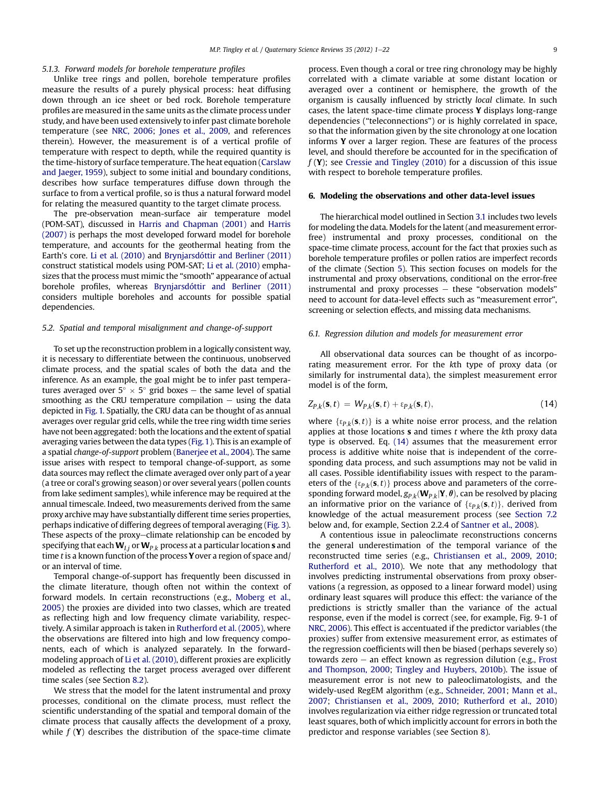#### <span id="page-8-0"></span>5.1.3. Forward models for borehole temperature profiles

Unlike tree rings and pollen, borehole temperature profiles measure the results of a purely physical process: heat diffusing down through an ice sheet or bed rock. Borehole temperature profiles are measured in the same units as the climate process under study, and have been used extensively to infer past climate borehole temperature (see [NRC, 2006](#page-21-0); [Jones et al., 2009](#page-20-0), and references therein). However, the measurement is of a vertical profile of temperature with respect to depth, while the required quantity is the time-history of surface temperature. The heat equation ([Carslaw](#page-19-0) [and Jaeger, 1959\)](#page-19-0), subject to some initial and boundary conditions, describes how surface temperatures diffuse down through the surface to from a vertical profile, so is thus a natural forward model for relating the measured quantity to the target climate process.

The pre-observation mean-surface air temperature model (POM-SAT), discussed in [Harris and Chapman \(2001\)](#page-20-0) and [Harris](#page-20-0) [\(2007\)](#page-20-0) is perhaps the most developed forward model for borehole temperature, and accounts for the geothermal heating from the Earth's core. [Li et al. \(2010\)](#page-20-0) and [Brynjarsdóttir and Berliner \(2011\)](#page-19-0) construct statistical models using POM-SAT; [Li et al. \(2010\)](#page-20-0) emphasizes that the process must mimic the "smooth" appearance of actual borehole profiles, whereas [Brynjarsdóttir and Berliner \(2011\)](#page-19-0) considers multiple boreholes and accounts for possible spatial dependencies.

# 5.2. Spatial and temporal misalignment and change-of-support

To set up the reconstruction problem in a logically consistent way, it is necessary to differentiate between the continuous, unobserved climate process, and the spatial scales of both the data and the inference. As an example, the goal might be to infer past temperatures averaged over  $5^{\circ} \times 5^{\circ}$  grid boxes – the same level of spatial smoothing as the CRU temperature compilation – using the data smoothing as the CRU temperature compilation  $-$  using the data depicted in [Fig. 1.](#page-2-0) Spatially, the CRU data can be thought of as annual averages over regular grid cells, while the tree ring width time series have not been aggregated: both the locations and the extent of spatial averaging varies between the data types [\(Fig. 1\)](#page-2-0). This is an example of a spatial change-of-support problem [\(Banerjee et al., 2004](#page-19-0)). The same issue arises with respect to temporal change-of-support, as some data sources may reflect the climate averaged over only part of a year (a tree or coral's growing season) or over several years (pollen counts from lake sediment samples), while inference may be required at the annual timescale. Indeed, two measurements derived from the same proxy archive may have substantially different time series properties, perhaps indicative of differing degrees of temporal averaging ([Fig. 3\)](#page-3-0). These aspects of the proxy-climate relationship can be encoded by specifying that each  $W_{I,j}$  or  $W_{P,k}$  process at a particular location **s** and time t is a known function of the process Y over a region of space and/ or an interval of time.

Temporal change-of-support has frequently been discussed in the climate literature, though often not within the context of forward models. In certain reconstructions (e.g., [Moberg et al.,](#page-21-0) [2005\)](#page-21-0) the proxies are divided into two classes, which are treated as reflecting high and low frequency climate variability, respectively. A similar approach is taken in [Rutherford et al. \(2005\),](#page-21-0) where the observations are filtered into high and low frequency components, each of which is analyzed separately. In the forwardmodeling approach of [Li et al. \(2010\),](#page-20-0) different proxies are explicitly modeled as reflecting the target process averaged over different time scales (see Section [8.2](#page-13-0)).

We stress that the model for the latent instrumental and proxy processes, conditional on the climate process, must reflect the scientific understanding of the spatial and temporal domain of the climate process that causally affects the development of a proxy, while  $f(\mathbf{Y})$  describes the distribution of the space-time climate

process. Even though a coral or tree ring chronology may be highly correlated with a climate variable at some distant location or averaged over a continent or hemisphere, the growth of the organism is causally influenced by strictly local climate. In such cases, the latent space-time climate process Y displays long-range dependencies ("teleconnections") or is highly correlated in space, so that the information given by the site chronology at one location informs Y over a larger region. These are features of the process level, and should therefore be accounted for in the specification of  $f(Y)$ ; see [Cressie and Tingley \(2010\)](#page-19-0) for a discussion of this issue with respect to borehole temperature profiles.

# 6. Modeling the observations and other data-level issues

The hierarchical model outlined in Section [3.1](#page-3-0) includes two levels for modeling the data. Models for the latent (and measurement errorfree) instrumental and proxy processes, conditional on the space-time climate process, account for the fact that proxies such as borehole temperature profiles or pollen ratios are imperfect records of the climate (Section [5](#page-6-0)). This section focuses on models for the instrumental and proxy observations, conditional on the error-free instrumental and proxy processes  $-$  these "observation models" need to account for data-level effects such as "measurement error", screening or selection effects, and missing data mechanisms.

# 6.1. Regression dilution and models for measurement error

All observational data sources can be thought of as incorporating measurement error. For the kth type of proxy data (or similarly for instrumental data), the simplest measurement error model is of the form,

$$
Z_{P,k}(\mathbf{s},t) = W_{P,k}(\mathbf{s},t) + \varepsilon_{P,k}(\mathbf{s},t),
$$
\n(14)

where  $\{\epsilon_{Pk}(\mathbf{s},t)\}\)$  is a white noise error process, and the relation applies at those locations  $s$  and times  $t$  where the  $k$ th proxy data type is observed. Eq. (14) assumes that the measurement error process is additive white noise that is independent of the corresponding data process, and such assumptions may not be valid in all cases. Possible identifiability issues with respect to the parameters of the  $\{\varepsilon_{P,k}(s,t)\}$  process above and parameters of the corresponding forward model,  $g_{P,k}(\mathbf{W}_{P,k}|\mathbf{Y}, \theta)$ , can be resolved by placing an informative prior on the variance of  $\{\varepsilon_{P,k}(\mathbf{s},t)\}\)$ , derived from knowledge of the actual measurement process (see [Section 7.2](#page-11-0) below and, for example, Section 2.2.4 of [Santner et al., 2008](#page-21-0)).

A contentious issue in paleoclimate reconstructions concerns the general underestimation of the temporal variance of the reconstructed time series (e.g., [Christiansen et al., 2009](#page-19-0), [2010;](#page-19-0) [Rutherford et al., 2010\)](#page-21-0). We note that any methodology that involves predicting instrumental observations from proxy observations (a regression, as opposed to a linear forward model) using ordinary least squares will produce this effect: the variance of the predictions is strictly smaller than the variance of the actual response, even if the model is correct (see, for example, Fig. 9-1 of [NRC, 2006\)](#page-21-0). This effect is accentuated if the predictor variables (the proxies) suffer from extensive measurement error, as estimates of the regression coefficients will then be biased (perhaps severely so) towards zero  $-$  an effect known as regression dilution (e.g., [Frost](#page-20-0) [and Thompson, 2000;](#page-20-0) [Tingley and Huybers, 2010b\)](#page-21-0). The issue of measurement error is not new to paleoclimatologists, and the widely-used RegEM algorithm (e.g., [Schneider, 2001](#page-21-0); [Mann et al.,](#page-20-0) [2007;](#page-20-0) [Christiansen et al., 2009](#page-19-0), [2010;](#page-19-0) [Rutherford et al., 2010\)](#page-21-0) involves regularization via either ridge regression or truncated total least squares, both of which implicitly account for errors in both the predictor and response variables (see Section [8](#page-12-0)).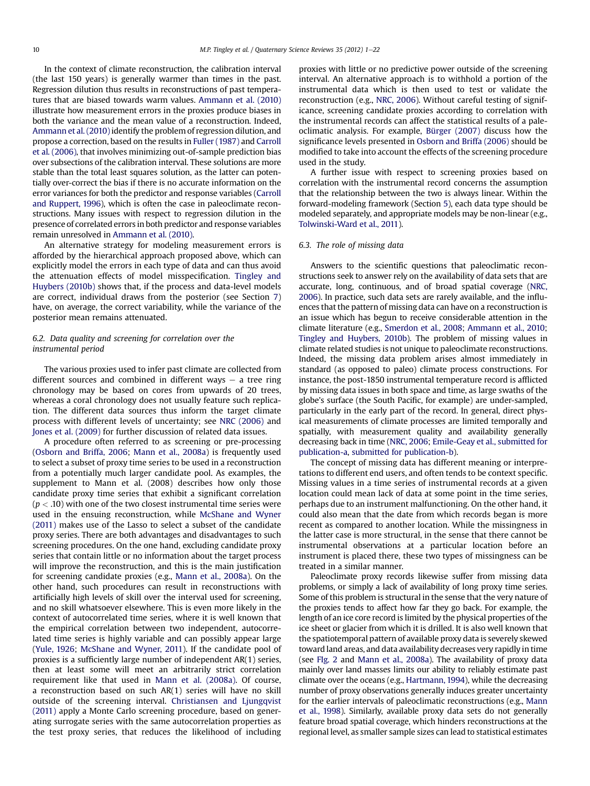<span id="page-9-0"></span>In the context of climate reconstruction, the calibration interval (the last 150 years) is generally warmer than times in the past. Regression dilution thus results in reconstructions of past temperatures that are biased towards warm values. [Ammann et al. \(2010\)](#page-19-0) illustrate how measurement errors in the proxies produce biases in both the variance and the mean value of a reconstruction. Indeed, [Ammann et al. \(2010\)](#page-19-0) identify the problem of regression dilution, and propose a correction, based on the results in [Fuller \(1987\)](#page-20-0) and [Carroll](#page-19-0) [et al. \(2006\)](#page-19-0), that involves minimizing out-of-sample prediction bias over subsections of the calibration interval. These solutions are more stable than the total least squares solution, as the latter can potentially over-correct the bias if there is no accurate information on the error variances for both the predictor and response variables [\(Carroll](#page-19-0) [and Ruppert, 1996\)](#page-19-0), which is often the case in paleoclimate reconstructions. Many issues with respect to regression dilution in the presence of correlated errors in both predictor and response variables remain unresolved in [Ammann et al. \(2010\)](#page-19-0).

An alternative strategy for modeling measurement errors is afforded by the hierarchical approach proposed above, which can explicitly model the errors in each type of data and can thus avoid the attenuation effects of model misspecification. [Tingley and](#page-21-0) [Huybers \(2010b\)](#page-21-0) shows that, if the process and data-level models are correct, individual draws from the posterior (see Section [7\)](#page-11-0) have, on average, the correct variability, while the variance of the posterior mean remains attenuated.

# 6.2. Data quality and screening for correlation over the instrumental period

The various proxies used to infer past climate are collected from different sources and combined in different ways  $-$  a tree ring chronology may be based on cores from upwards of 20 trees, whereas a coral chronology does not usually feature such replication. The different data sources thus inform the target climate process with different levels of uncertainty; see [NRC \(2006\)](#page-21-0) and [Jones et al. \(2009\)](#page-20-0) for further discussion of related data issues.

A procedure often referred to as screening or pre-processing ([Osborn and Briffa, 2006;](#page-21-0) [Mann et al., 2008a](#page-20-0)) is frequently used to select a subset of proxy time series to be used in a reconstruction from a potentially much larger candidate pool. As examples, the supplement to Mann et al. (2008) describes how only those candidate proxy time series that exhibit a significant correlation  $(p < .10)$  with one of the two closest instrumental time series were used in the ensuing reconstruction, while [McShane and Wyner](#page-21-0) [\(2011\)](#page-21-0) makes use of the Lasso to select a subset of the candidate proxy series. There are both advantages and disadvantages to such screening procedures. On the one hand, excluding candidate proxy series that contain little or no information about the target process will improve the reconstruction, and this is the main justification for screening candidate proxies (e.g., [Mann et al., 2008a\)](#page-20-0). On the other hand, such procedures can result in reconstructions with artificially high levels of skill over the interval used for screening, and no skill whatsoever elsewhere. This is even more likely in the context of autocorrelated time series, where it is well known that the empirical correlation between two independent, autocorrelated time series is highly variable and can possibly appear large ([Yule, 1926](#page-21-0); [McShane and Wyner, 2011\)](#page-21-0). If the candidate pool of proxies is a sufficiently large number of independent AR(1) series, then at least some will meet an arbitrarily strict correlation requirement like that used in [Mann et al. \(2008a\).](#page-20-0) Of course, a reconstruction based on such AR(1) series will have no skill outside of the screening interval. [Christiansen and Ljungqvist](#page-19-0) [\(2011\)](#page-19-0) apply a Monte Carlo screening procedure, based on generating surrogate series with the same autocorrelation properties as the test proxy series, that reduces the likelihood of including proxies with little or no predictive power outside of the screening interval. An alternative approach is to withhold a portion of the instrumental data which is then used to test or validate the reconstruction (e.g., [NRC, 2006\)](#page-21-0). Without careful testing of significance, screening candidate proxies according to correlation with the instrumental records can affect the statistical results of a paleoclimatic analysis. For example, [Bürger \(2007\)](#page-19-0) discuss how the significance levels presented in [Osborn and Briffa \(2006\)](#page-21-0) should be modified to take into account the effects of the screening procedure used in the study.

A further issue with respect to screening proxies based on correlation with the instrumental record concerns the assumption that the relationship between the two is always linear. Within the forward-modeling framework (Section [5](#page-6-0)), each data type should be modeled separately, and appropriate models may be non-linear (e.g., [Tolwinski-Ward et al., 2011](#page-21-0)).

#### 6.3. The role of missing data

Answers to the scientific questions that paleoclimatic reconstructions seek to answer rely on the availability of data sets that are accurate, long, continuous, and of broad spatial coverage [\(NRC,](#page-21-0) [2006\)](#page-21-0). In practice, such data sets are rarely available, and the influences that the pattern of missing data can have on a reconstruction is an issue which has begun to receive considerable attention in the climate literature (e.g., [Smerdon et al., 2008;](#page-21-0) [Ammann et al., 2010](#page-19-0); [Tingley and Huybers, 2010b\)](#page-21-0). The problem of missing values in climate related studies is not unique to paleoclimate reconstructions. Indeed, the missing data problem arises almost immediately in standard (as opposed to paleo) climate process constructions. For instance, the post-1850 instrumental temperature record is afflicted by missing data issues in both space and time, as large swaths of the globe's surface (the South Pacific, for example) are under-sampled, particularly in the early part of the record. In general, direct physical measurements of climate processes are limited temporally and spatially, with measurement quality and availability generally decreasing back in time ([NRC, 2006](#page-21-0); [Emile-Geay et al., submitted for](#page-20-0) [publication-a,](#page-20-0) [submitted for publication-b\)](#page-20-0).

The concept of missing data has different meaning or interpretations to different end users, and often tends to be context specific. Missing values in a time series of instrumental records at a given location could mean lack of data at some point in the time series, perhaps due to an instrument malfunctioning. On the other hand, it could also mean that the date from which records began is more recent as compared to another location. While the missingness in the latter case is more structural, in the sense that there cannot be instrumental observations at a particular location before an instrument is placed there, these two types of missingness can be treated in a similar manner.

Paleoclimate proxy records likewise suffer from missing data problems, or simply a lack of availability of long proxy time series. Some of this problem is structural in the sense that the very nature of the proxies tends to affect how far they go back. For example, the length of an ice core record is limited by the physical properties of the ice sheet or glacier from which it is drilled. It is also well known that the spatiotemporal pattern of available proxy data is severely skewed toward land areas, and data availability decreases very rapidly in time (see [FIg. 2](#page-3-0) and [Mann et al., 2008a](#page-20-0)). The availability of proxy data mainly over land masses limits our ability to reliably estimate past climate over the oceans (e.g., [Hartmann, 1994](#page-20-0)), while the decreasing number of proxy observations generally induces greater uncertainty for the earlier intervals of paleoclimatic reconstructions (e.g., [Mann](#page-20-0) [et al., 1998](#page-20-0)). Similarly, available proxy data sets do not generally feature broad spatial coverage, which hinders reconstructions at the regional level, as smaller sample sizes can lead to statistical estimates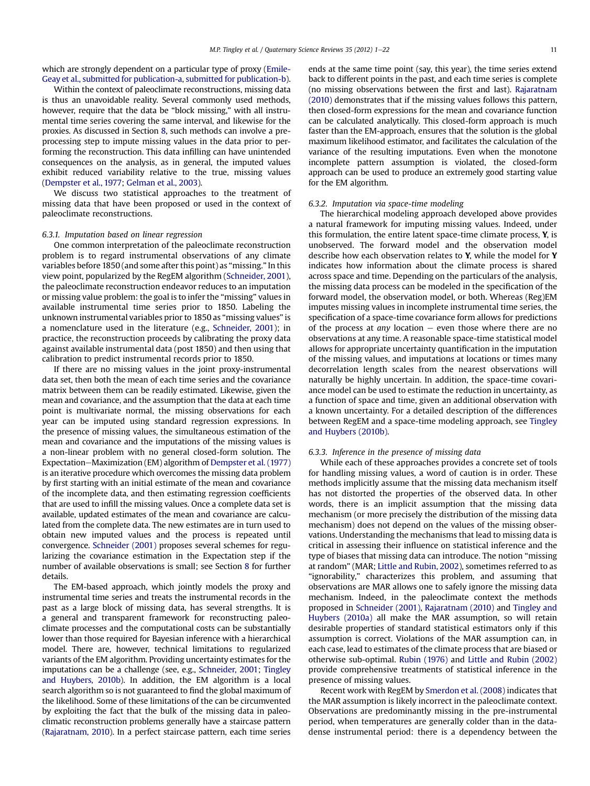which are strongly dependent on a particular type of proxy [\(Emile-](#page-20-0)[Geay et al., submitted for publication-a,](#page-20-0) [submitted for publication-b\)](#page-20-0).

Within the context of paleoclimate reconstructions, missing data is thus an unavoidable reality. Several commonly used methods, however, require that the data be "block missing," with all instrumental time series covering the same interval, and likewise for the proxies. As discussed in Section [8](#page-12-0), such methods can involve a preprocessing step to impute missing values in the data prior to performing the reconstruction. This data infilling can have unintended consequences on the analysis, as in general, the imputed values exhibit reduced variability relative to the true, missing values [\(Dempster et al., 1977;](#page-19-0) [Gelman et al., 2003\)](#page-20-0).

We discuss two statistical approaches to the treatment of missing data that have been proposed or used in the context of paleoclimate reconstructions.

#### 6.3.1. Imputation based on linear regression

One common interpretation of the paleoclimate reconstruction problem is to regard instrumental observations of any climate variables before 1850 (and some after this point) as "missing." In this view point, popularized by the RegEM algorithm ([Schneider, 2001\)](#page-21-0), the paleoclimate reconstruction endeavor reduces to an imputation or missing value problem: the goal is to infer the "missing" values in available instrumental time series prior to 1850. Labeling the unknown instrumental variables prior to 1850 as "missing values" is a nomenclature used in the literature (e.g., [Schneider, 2001\)](#page-21-0); in practice, the reconstruction proceeds by calibrating the proxy data against available instrumental data (post 1850) and then using that calibration to predict instrumental records prior to 1850.

If there are no missing values in the joint proxy-instrumental data set, then both the mean of each time series and the covariance matrix between them can be readily estimated. Likewise, given the mean and covariance, and the assumption that the data at each time point is multivariate normal, the missing observations for each year can be imputed using standard regression expressions. In the presence of missing values, the simultaneous estimation of the mean and covariance and the imputations of the missing values is a non-linear problem with no general closed-form solution. The Expectation–Maximization (EM) algorithm of [Dempster et al. \(1977\)](#page-19-0) is an iterative procedure which overcomes the missing data problem by first starting with an initial estimate of the mean and covariance of the incomplete data, and then estimating regression coefficients that are used to infill the missing values. Once a complete data set is available, updated estimates of the mean and covariance are calculated from the complete data. The new estimates are in turn used to obtain new imputed values and the process is repeated until convergence. [Schneider \(2001\)](#page-21-0) proposes several schemes for regularizing the covariance estimation in the Expectation step if the number of available observations is small; see Section [8](#page-12-0) for further details.

The EM-based approach, which jointly models the proxy and instrumental time series and treats the instrumental records in the past as a large block of missing data, has several strengths. It is a general and transparent framework for reconstructing paleoclimate processes and the computational costs can be substantially lower than those required for Bayesian inference with a hierarchical model. There are, however, technical limitations to regularized variants of the EM algorithm. Providing uncertainty estimates for the imputations can be a challenge (see, e.g., [Schneider, 2001;](#page-21-0) [Tingley](#page-21-0) [and Huybers, 2010b\)](#page-21-0). In addition, the EM algorithm is a local search algorithm so is not guaranteed to find the global maximum of the likelihood. Some of these limitations of the can be circumvented by exploiting the fact that the bulk of the missing data in paleoclimatic reconstruction problems generally have a staircase pattern [\(Rajaratnam, 2010](#page-21-0)). In a perfect staircase pattern, each time series ends at the same time point (say, this year), the time series extend back to different points in the past, and each time series is complete (no missing observations between the first and last). [Rajaratnam](#page-21-0) [\(2010\)](#page-21-0) demonstrates that if the missing values follows this pattern, then closed-form expressions for the mean and covariance function can be calculated analytically. This closed-form approach is much faster than the EM-approach, ensures that the solution is the global maximum likelihood estimator, and facilitates the calculation of the variance of the resulting imputations. Even when the monotone incomplete pattern assumption is violated, the closed-form approach can be used to produce an extremely good starting value for the EM algorithm.

#### 6.3.2. Imputation via space-time modeling

The hierarchical modeling approach developed above provides a natural framework for imputing missing values. Indeed, under this formulation, the entire latent space-time climate process, Y, is unobserved. The forward model and the observation model describe how each observation relates to Y, while the model for Y indicates how information about the climate process is shared across space and time. Depending on the particulars of the analysis, the missing data process can be modeled in the specification of the forward model, the observation model, or both. Whereas (Reg)EM imputes missing values in incomplete instrumental time series, the specification of a space-time covariance form allows for predictions of the process at *any* location  $-$  even those where there are no observations at any time. A reasonable space-time statistical model allows for appropriate uncertainty quantification in the imputation of the missing values, and imputations at locations or times many decorrelation length scales from the nearest observations will naturally be highly uncertain. In addition, the space-time covariance model can be used to estimate the reduction in uncertainty, as a function of space and time, given an additional observation with a known uncertainty. For a detailed description of the differences between RegEM and a space-time modeling approach, see [Tingley](#page-21-0) [and Huybers \(2010b\)](#page-21-0).

#### 6.3.3. Inference in the presence of missing data

While each of these approaches provides a concrete set of tools for handling missing values, a word of caution is in order. These methods implicitly assume that the missing data mechanism itself has not distorted the properties of the observed data. In other words, there is an implicit assumption that the missing data mechanism (or more precisely the distribution of the missing data mechanism) does not depend on the values of the missing observations. Understanding the mechanisms that lead to missing data is critical in assessing their influence on statistical inference and the type of biases that missing data can introduce. The notion "missing at random" (MAR; [Little and Rubin, 2002](#page-20-0)), sometimes referred to as "ignorability," characterizes this problem, and assuming that observations are MAR allows one to safely ignore the missing data mechanism. Indeed, in the paleoclimate context the methods proposed in [Schneider \(2001\),](#page-21-0) [Rajaratnam \(2010\)](#page-21-0) and [Tingley and](#page-21-0) [Huybers \(2010a\)](#page-21-0) all make the MAR assumption, so will retain desirable properties of standard statistical estimators only if this assumption is correct. Violations of the MAR assumption can, in each case, lead to estimates of the climate process that are biased or otherwise sub-optimal. [Rubin \(1976\)](#page-21-0) and [Little and Rubin \(2002\)](#page-20-0) provide comprehensive treatments of statistical inference in the presence of missing values.

Recent work with RegEM by [Smerdon et al. \(2008\)](#page-21-0) indicates that the MAR assumption is likely incorrect in the paleoclimate context. Observations are predominantly missing in the pre-instrumental period, when temperatures are generally colder than in the datadense instrumental period: there is a dependency between the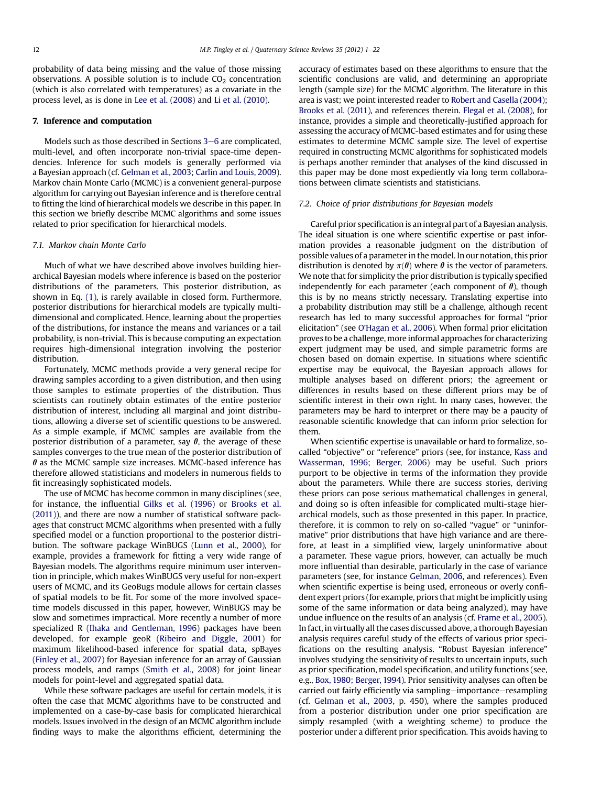<span id="page-11-0"></span>probability of data being missing and the value of those missing observations. A possible solution is to include  $CO<sub>2</sub>$  concentration (which is also correlated with temperatures) as a covariate in the process level, as is done in [Lee et al. \(2008\)](#page-20-0) and [Li et al. \(2010\)](#page-20-0).

# 7. Inference and computation

Models such as those described in Sections [3](#page-2-0)–[6](#page-2-0) are complicated, multi-level, and often incorporate non-trivial space-time dependencies. Inference for such models is generally performed via a Bayesian approach (cf. [Gelman et al., 2003](#page-20-0); [Carlin and Louis, 2009](#page-19-0)). Markov chain Monte Carlo (MCMC) is a convenient general-purpose algorithm for carrying out Bayesian inference and is therefore central to fitting the kind of hierarchical models we describe in this paper. In this section we briefly describe MCMC algorithms and some issues related to prior specification for hierarchical models.

# 7.1. Markov chain Monte Carlo

Much of what we have described above involves building hierarchical Bayesian models where inference is based on the posterior distributions of the parameters. This posterior distribution, as shown in Eq. [\(1\)](#page-3-0), is rarely available in closed form. Furthermore, posterior distributions for hierarchical models are typically multidimensional and complicated. Hence, learning about the properties of the distributions, for instance the means and variances or a tail probability, is non-trivial. This is because computing an expectation requires high-dimensional integration involving the posterior distribution.

Fortunately, MCMC methods provide a very general recipe for drawing samples according to a given distribution, and then using those samples to estimate properties of the distribution. Thus scientists can routinely obtain estimates of the entire posterior distribution of interest, including all marginal and joint distributions, allowing a diverse set of scientific questions to be answered. As a simple example, if MCMC samples are available from the posterior distribution of a parameter, say  $\theta$ , the average of these samples converges to the true mean of the posterior distribution of  $\theta$  as the MCMC sample size increases. MCMC-based inference has therefore allowed statisticians and modelers in numerous fields to fit increasingly sophisticated models.

The use of MCMC has become common in many disciplines (see, for instance, the influential [Gilks et al. \(1996\)](#page-20-0) or [Brooks et al.](#page-19-0) [\(2011\)\)](#page-19-0), and there are now a number of statistical software packages that construct MCMC algorithms when presented with a fully specified model or a function proportional to the posterior distribution. The software package WinBUGS [\(Lunn et al., 2000](#page-20-0)), for example, provides a framework for fitting a very wide range of Bayesian models. The algorithms require minimum user intervention in principle, which makes WinBUGS very useful for non-expert users of MCMC, and its GeoBugs module allows for certain classes of spatial models to be fit. For some of the more involved spacetime models discussed in this paper, however, WinBUGS may be slow and sometimes impractical. More recently a number of more specialized R [\(Ihaka and Gentleman, 1996\)](#page-20-0) packages have been developed, for example geoR [\(Ribeiro and Diggle, 2001](#page-21-0)) for maximum likelihood-based inference for spatial data, spBayes ([Finley et al., 2007](#page-20-0)) for Bayesian inference for an array of Gaussian process models, and ramps [\(Smith et al., 2008\)](#page-21-0) for joint linear models for point-level and aggregated spatial data.

While these software packages are useful for certain models, it is often the case that MCMC algorithms have to be constructed and implemented on a case-by-case basis for complicated hierarchical models. Issues involved in the design of an MCMC algorithm include finding ways to make the algorithms efficient, determining the accuracy of estimates based on these algorithms to ensure that the scientific conclusions are valid, and determining an appropriate length (sample size) for the MCMC algorithm. The literature in this area is vast; we point interested reader to [Robert and Casella \(2004\)](#page-21-0); [Brooks et al. \(2011\)](#page-19-0), and references therein. [Flegal et al. \(2008\),](#page-20-0) for instance, provides a simple and theoretically-justified approach for assessing the accuracy of MCMC-based estimates and for using these estimates to determine MCMC sample size. The level of expertise required in constructing MCMC algorithms for sophisticated models is perhaps another reminder that analyses of the kind discussed in this paper may be done most expediently via long term collaborations between climate scientists and statisticians.

#### 7.2. Choice of prior distributions for Bayesian models

Careful prior specification is an integral part of a Bayesian analysis. The ideal situation is one where scientific expertise or past information provides a reasonable judgment on the distribution of possible values of a parameter in the model. In our notation, this prior distribution is denoted by  $\pi(\theta)$  where  $\theta$  is the vector of parameters. We note that for simplicity the prior distribution is typically specified independently for each parameter (each component of  $\theta$ ), though this is by no means strictly necessary. Translating expertise into a probability distribution may still be a challenge, although recent research has led to many successful approaches for formal "prior elicitation" (see O'[Hagan et al., 2006](#page-21-0)). When formal prior elicitation proves to be a challenge, more informal approaches for characterizing expert judgment may be used, and simple parametric forms are chosen based on domain expertise. In situations where scientific expertise may be equivocal, the Bayesian approach allows for multiple analyses based on different priors; the agreement or differences in results based on these different priors may be of scientific interest in their own right. In many cases, however, the parameters may be hard to interpret or there may be a paucity of reasonable scientific knowledge that can inform prior selection for them.

When scientific expertise is unavailable or hard to formalize, socalled "objective" or "reference" priors (see, for instance, [Kass and](#page-20-0) [Wasserman, 1996](#page-20-0); [Berger, 2006](#page-19-0)) may be useful. Such priors purport to be objective in terms of the information they provide about the parameters. While there are success stories, deriving these priors can pose serious mathematical challenges in general, and doing so is often infeasible for complicated multi-stage hierarchical models, such as those presented in this paper. In practice, therefore, it is common to rely on so-called "vague" or "uninformative" prior distributions that have high variance and are therefore, at least in a simplified view, largely uninformative about a parameter. These vague priors, however, can actually be much more influential than desirable, particularly in the case of variance parameters (see, for instance [Gelman, 2006](#page-20-0), and references). Even when scientific expertise is being used, erroneous or overly confident expert priors (for example, priors that might be implicitly using some of the same information or data being analyzed), may have undue influence on the results of an analysis (cf. [Frame et al., 2005\)](#page-20-0). In fact, in virtually all the cases discussed above, a thorough Bayesian analysis requires careful study of the effects of various prior specifications on the resulting analysis. "Robust Bayesian inference" involves studying the sensitivity of results to uncertain inputs, such as prior specification, model specification, and utility functions (see, e.g., [Box, 1980](#page-19-0); [Berger, 1994](#page-19-0)). Prior sensitivity analyses can often be carried out fairly efficiently via sampling-importance-resampling (cf. [Gelman et al., 2003,](#page-20-0) p. 450), where the samples produced from a posterior distribution under one prior specification are simply resampled (with a weighting scheme) to produce the posterior under a different prior specification. This avoids having to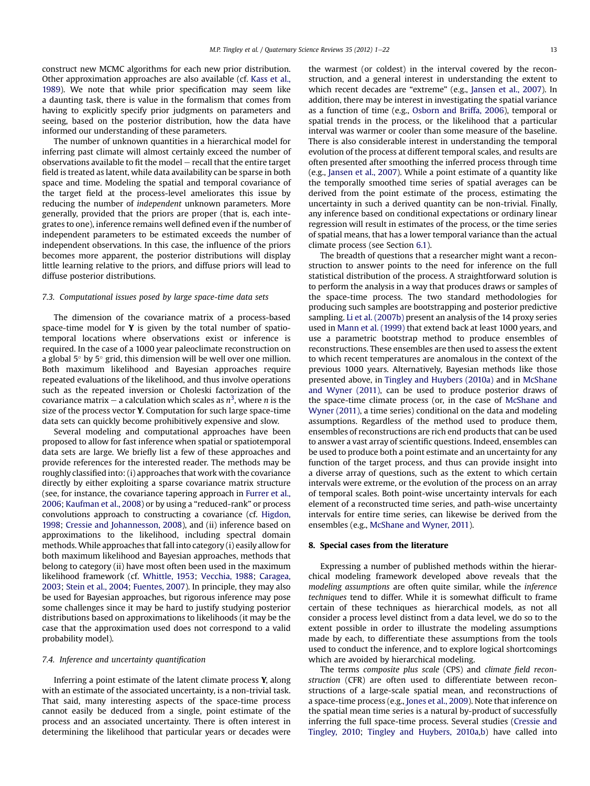<span id="page-12-0"></span>construct new MCMC algorithms for each new prior distribution. Other approximation approaches are also available (cf. [Kass et al.,](#page-20-0) [1989\)](#page-20-0). We note that while prior specification may seem like a daunting task, there is value in the formalism that comes from having to explicitly specify prior judgments on parameters and seeing, based on the posterior distribution, how the data have informed our understanding of these parameters.

The number of unknown quantities in a hierarchical model for inferring past climate will almost certainly exceed the number of observations available to fit the model  $-$  recall that the entire target field is treated as latent, while data availability can be sparse in both space and time. Modeling the spatial and temporal covariance of the target field at the process-level ameliorates this issue by reducing the number of independent unknown parameters. More generally, provided that the priors are proper (that is, each integrates to one), inference remains well defined even if the number of independent parameters to be estimated exceeds the number of independent observations. In this case, the influence of the priors becomes more apparent, the posterior distributions will display little learning relative to the priors, and diffuse priors will lead to diffuse posterior distributions.

# 7.3. Computational issues posed by large space-time data sets

The dimension of the covariance matrix of a process-based space-time model for  $Y$  is given by the total number of spatiotemporal locations where observations exist or inference is required. In the case of a 1000 year paleoclimate reconstruction on a global 5 $^{\circ}$  by 5 $^{\circ}$  grid, this dimension will be well over one million. Both maximum likelihood and Bayesian approaches require repeated evaluations of the likelihood, and thus involve operations such as the repeated inversion or Choleski factorization of the covariance matrix – a calculation which scales as  $n^3$  $n^3$ , where  $n$  is the size of the process vector Y. Computation for such large space-time data sets can quickly become prohibitively expensive and slow.

Several modeling and computational approaches have been proposed to allow for fast inference when spatial or spatiotemporal data sets are large. We briefly list a few of these approaches and provide references for the interested reader. The methods may be roughly classified into: (i) approaches that work with the covariance directly by either exploiting a sparse covariance matrix structure (see, for instance, the covariance tapering approach in [Furrer et al.,](#page-20-0) [2006;](#page-20-0) [Kaufman et al., 2008](#page-20-0)) or by using a "reduced-rank" or process convolutions approach to constructing a covariance (cf. [Higdon,](#page-20-0) [1998;](#page-20-0) [Cressie and Johannesson, 2008\)](#page-19-0), and (ii) inference based on approximations to the likelihood, including spectral domain methods. While approaches that fall into category (i) easily allow for both maximum likelihood and Bayesian approaches, methods that belong to category (ii) have most often been used in the maximum likelihood framework (cf. [Whittle, 1953](#page-21-0); [Vecchia, 1988;](#page-21-0) [Caragea,](#page-19-0) [2003;](#page-19-0) [Stein et al., 2004](#page-21-0); [Fuentes, 2007\)](#page-20-0). In principle, they may also be used for Bayesian approaches, but rigorous inference may pose some challenges since it may be hard to justify studying posterior distributions based on approximations to likelihoods (it may be the case that the approximation used does not correspond to a valid probability model).

#### 7.4. Inference and uncertainty quantification

Inferring a point estimate of the latent climate process Y, along with an estimate of the associated uncertainty, is a non-trivial task. That said, many interesting aspects of the space-time process cannot easily be deduced from a single, point estimate of the process and an associated uncertainty. There is often interest in determining the likelihood that particular years or decades were the warmest (or coldest) in the interval covered by the reconstruction, and a general interest in understanding the extent to which recent decades are "extreme" (e.g., [Jansen et al., 2007\)](#page-20-0). In addition, there may be interest in investigating the spatial variance as a function of time (e.g., [Osborn and Briffa, 2006\)](#page-21-0), temporal or spatial trends in the process, or the likelihood that a particular interval was warmer or cooler than some measure of the baseline. There is also considerable interest in understanding the temporal evolution of the process at different temporal scales, and results are often presented after smoothing the inferred process through time (e.g., [Jansen et al., 2007\)](#page-20-0). While a point estimate of a quantity like the temporally smoothed time series of spatial averages can be derived from the point estimate of the process, estimating the uncertainty in such a derived quantity can be non-trivial. Finally, any inference based on conditional expectations or ordinary linear regression will result in estimates of the process, or the time series of spatial means, that has a lower temporal variance than the actual climate process (see Section [6.1](#page-8-0)).

The breadth of questions that a researcher might want a reconstruction to answer points to the need for inference on the full statistical distribution of the process. A straightforward solution is to perform the analysis in a way that produces draws or samples of the space-time process. The two standard methodologies for producing such samples are bootstrapping and posterior predictive sampling. [Li et al. \(2007b\)](#page-20-0) present an analysis of the 14 proxy series used in [Mann et al. \(1999\)](#page-20-0) that extend back at least 1000 years, and use a parametric bootstrap method to produce ensembles of reconstructions. These ensembles are then used to assess the extent to which recent temperatures are anomalous in the context of the previous 1000 years. Alternatively, Bayesian methods like those presented above, in [Tingley and Huybers \(2010a\)](#page-21-0) and in [McShane](#page-21-0) [and Wyner \(2011\),](#page-21-0) can be used to produce posterior draws of the space-time climate process (or, in the case of [McShane and](#page-21-0) [Wyner \(2011\)](#page-21-0), a time series) conditional on the data and modeling assumptions. Regardless of the method used to produce them, ensembles of reconstructions are rich end products that can be used to answer a vast array of scientific questions. Indeed, ensembles can be used to produce both a point estimate and an uncertainty for any function of the target process, and thus can provide insight into a diverse array of questions, such as the extent to which certain intervals were extreme, or the evolution of the process on an array of temporal scales. Both point-wise uncertainty intervals for each element of a reconstructed time series, and path-wise uncertainty intervals for entire time series, can likewise be derived from the ensembles (e.g., [McShane and Wyner, 2011\)](#page-21-0).

# 8. Special cases from the literature

Expressing a number of published methods within the hierarchical modeling framework developed above reveals that the modeling assumptions are often quite similar, while the inference techniques tend to differ. While it is somewhat difficult to frame certain of these techniques as hierarchical models, as not all consider a process level distinct from a data level, we do so to the extent possible in order to illustrate the modeling assumptions made by each, to differentiate these assumptions from the tools used to conduct the inference, and to explore logical shortcomings which are avoided by hierarchical modeling.

The terms composite plus scale (CPS) and climate field reconstruction (CFR) are often used to differentiate between reconstructions of a large-scale spatial mean, and reconstructions of a space-time process (e.g., [Jones et al., 2009\)](#page-20-0). Note that inference on the spatial mean time series is a natural by-product of successfully inferring the full space-time process. Several studies ([Cressie and](#page-19-0) [Tingley, 2010;](#page-19-0) [Tingley and Huybers, 2010a,b](#page-21-0)) have called into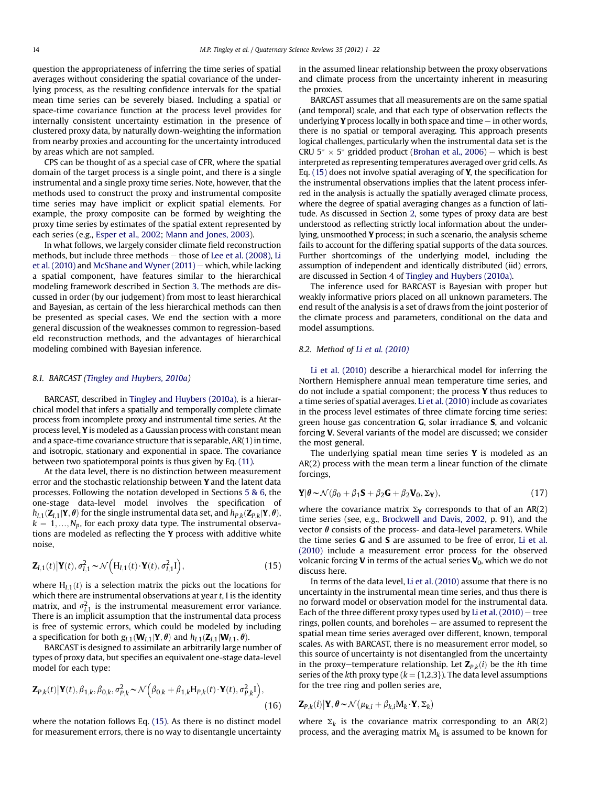<span id="page-13-0"></span>question the appropriateness of inferring the time series of spatial averages without considering the spatial covariance of the underlying process, as the resulting confidence intervals for the spatial mean time series can be severely biased. Including a spatial or space-time covariance function at the process level provides for internally consistent uncertainty estimation in the presence of clustered proxy data, by naturally down-weighting the information from nearby proxies and accounting for the uncertainty introduced by areas which are not sampled.

CPS can be thought of as a special case of CFR, where the spatial domain of the target process is a single point, and there is a single instrumental and a single proxy time series. Note, however, that the methods used to construct the proxy and instrumental composite time series may have implicit or explicit spatial elements. For example, the proxy composite can be formed by weighting the proxy time series by estimates of the spatial extent represented by each series (e.g., [Esper et al., 2002](#page-20-0); [Mann and Jones, 2003](#page-20-0)).

In what follows, we largely consider climate field reconstruction methods, but include three methods  $-$  those of [Lee et al. \(2008\)](#page-20-0), [Li](#page-20-0) [et al. \(2010\)](#page-20-0) and [McShane and Wyner \(2011\)](#page-21-0) – which, while lacking a spatial component, have features similar to the hierarchical modeling framework described in Section [3.](#page-2-0) The methods are discussed in order (by our judgement) from most to least hierarchical and Bayesian, as certain of the less hierarchical methods can then be presented as special cases. We end the section with a more general discussion of the weaknesses common to regression-based eld reconstruction methods, and the advantages of hierarchical modeling combined with Bayesian inference.

# 8.1. BARCAST ([Tingley and Huybers, 2010a](#page-21-0))

BARCAST, described in [Tingley and Huybers \(2010a\),](#page-21-0) is a hierarchical model that infers a spatially and temporally complete climate process from incomplete proxy and instrumental time series. At the process level, Y is modeled as a Gaussian process with constant mean and a space-time covariance structure that is separable, AR(1) in time, and isotropic, stationary and exponential in space. The covariance between two spatiotemporal points is thus given by Eq. [\(11\)](#page-6-0).

At the data level, there is no distinction between measurement error and the stochastic relationship between Y and the latent data processes. Following the notation developed in Sections [5&6](#page-6-0), the one-stage data-level model involves the specification of  $h_{I,1}(\mathbf{Z}_{I,1}|\mathbf{Y}, \theta)$  for the single instrumental data set, and  $h_{P,k}(\mathbf{Z}_{P,k}|\mathbf{Y}, \theta)$ ,  $k = 1,...,N_p$ , for each proxy data type. The instrumental observations are modeled as reflecting the Y process with additive white noise,

$$
\mathbf{Z}_{I,1}(t)|\mathbf{Y}(t),\sigma_{I,1}^2 \sim \mathcal{N}\left(\mathbf{H}_{I,1}(t)\cdot\mathbf{Y}(t),\sigma_{I,1}^2\mathbf{I}\right),\tag{15}
$$

where  $H_{1,1}(t)$  is a selection matrix the picks out the locations for which there are instrumental observations at year  $t$ , I is the identity matrix, and  $\sigma_{l,1}^2$  is the instrumental measurement error variance.<br>There is an implicit assumption that the instrumental data process There is an implicit assumption that the instrumental data process is free of systemic errors, which could be modeled by including a specification for both  $g_{I,1}(\mathbf{W}_{I,1}|\mathbf{Y}, \theta)$  and  $h_{I,1}(\mathbf{Z}_{I,1}|\mathbf{W}_{I,1}, \theta)$ .

BARCAST is designed to assimilate an arbitrarily large number of types of proxy data, but specifies an equivalent one-stage data-level model for each type:

$$
\mathbf{Z}_{P,k}(t) \big| \mathbf{Y}(t), \beta_{1,k}, \beta_{0,k}, \sigma_{P,k}^2 \sim \mathcal{N}\Big(\beta_{0,k} + \beta_{1,k} \mathbf{H}_{P,k}(t) \cdot \mathbf{Y}(t), \sigma_{P,k}^2 \mathbf{I}\Big),\tag{16}
$$

where the notation follows Eq. (15). As there is no distinct model for measurement errors, there is no way to disentangle uncertainty in the assumed linear relationship between the proxy observations and climate process from the uncertainty inherent in measuring the proxies.

BARCAST assumes that all measurements are on the same spatial (and temporal) scale, and that each type of observation reflects the underlying **Y** process locally in both space and time  $-$  in other words, there is no spatial or temporal averaging. This approach presents logical challenges, particularly when the instrumental data set is the CRU  $5^{\circ} \times 5^{\circ}$  gridded product [\(Brohan et al., 2006](#page-19-0)) – which is best<br>interpreted as representing temperatures averaged over grid cells. As interpreted as representing temperatures averaged over grid cells. As Eq. (15) does not involve spatial averaging of Y, the specification for the instrumental observations implies that the latent process inferred in the analysis is actually the spatially averaged climate process, where the degree of spatial averaging changes as a function of latitude. As discussed in Section [2,](#page-1-0) some types of proxy data are best understood as reflecting strictly local information about the underlying, unsmoothed Y process; in such a scenario, the analysis scheme fails to account for the differing spatial supports of the data sources. Further shortcomings of the underlying model, including the assumption of independent and identically distributed (iid) errors, are discussed in Section 4 of [Tingley and Huybers \(2010a\).](#page-21-0)

The inference used for BARCAST is Bayesian with proper but weakly informative priors placed on all unknown parameters. The end result of the analysis is a set of draws from the joint posterior of the climate process and parameters, conditional on the data and model assumptions.

# 8.2. Method of [Li et al. \(2010\)](#page-20-0)

[Li et al. \(2010\)](#page-20-0) describe a hierarchical model for inferring the Northern Hemisphere annual mean temperature time series, and do not include a spatial component; the process Y thus reduces to a time series of spatial averages. [Li et al. \(2010\)](#page-20-0) include as covariates in the process level estimates of three climate forcing time series: green house gas concentration G, solar irradiance S, and volcanic forcing V. Several variants of the model are discussed; we consider the most general.

The underlying spatial mean time series  $Y$  is modeled as an AR(2) process with the mean term a linear function of the climate forcings,

$$
\mathbf{Y}|\boldsymbol{\theta} \sim \mathcal{N}(\beta_0 + \beta_1 \mathbf{S} + \beta_2 \mathbf{G} + \beta_2 \mathbf{V}_0, \Sigma_{\mathbf{Y}}),\tag{17}
$$

where the covariance matrix  $\Sigma_Y$  corresponds to that of an AR(2) time series (see, e.g., [Brockwell and Davis, 2002,](#page-19-0) p. 91), and the vector  $\theta$  consists of the process- and data-level parameters. While the time series G and S are assumed to be free of error, [Li et al.](#page-20-0) [\(2010\)](#page-20-0) include a measurement error process for the observed volcanic forcing **V** in terms of the actual series  $V_0$ , which we do not discuss here.

In terms of the data level, [Li et al. \(2010\)](#page-20-0) assume that there is no uncertainty in the instrumental mean time series, and thus there is no forward model or observation model for the instrumental data. Each of the three different proxy types used by Li et al.  $(2010)$  – tree rings, pollen counts, and boreholes  $-$  are assumed to represent the spatial mean time series averaged over different, known, temporal scales. As with BARCAST, there is no measurement error model, so this source of uncertainty is not disentangled from the uncertainty in the proxy-temperature relationship. Let  $\mathbf{Z}_{P,k}(i)$  be the ith time series of the kth proxy type ( $k = \{1,2,3\}$ ). The data level assumptions for the tree ring and pollen series are,

$$
\mathbf{Z}_{P,k}(i) \big| \mathbf{Y}, \theta \sim \mathcal{N} \big( \mu_{k,i} + \beta_{k,i} M_k \cdot \mathbf{Y}, \Sigma_k \big)
$$

where  $\Sigma_k$  is the covariance matrix corresponding to an AR(2) process, and the averaging matrix  $M_k$  is assumed to be known for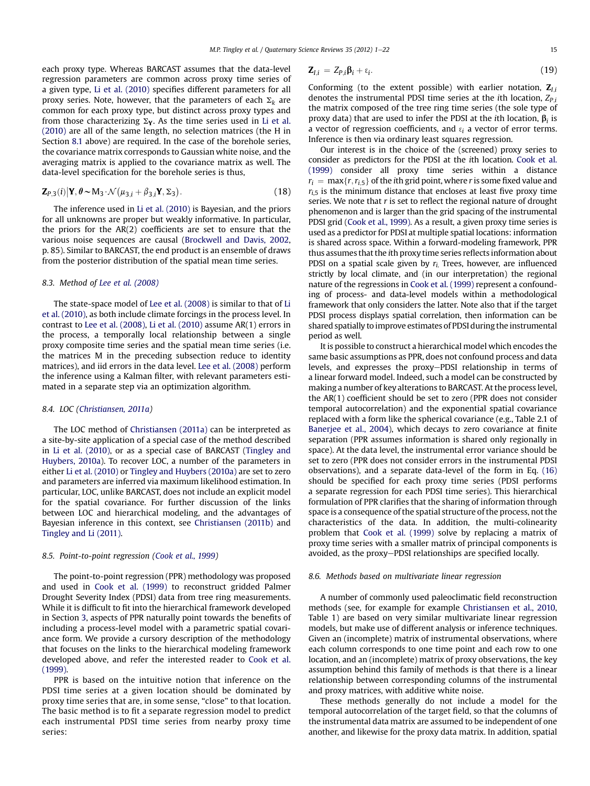<span id="page-14-0"></span>each proxy type. Whereas BARCAST assumes that the data-level regression parameters are common across proxy time series of a given type, [Li et al. \(2010\)](#page-20-0) specifies different parameters for all proxy series. Note, however, that the parameters of each  $\Sigma_k$  are common for each proxy type, but distinct across proxy types and from those characterizing  $\Sigma_Y$ . As the time series used in [Li et al.](#page-20-0) [\(2010\)](#page-20-0) are all of the same length, no selection matrices (the H in Section [8.1](#page-13-0) above) are required. In the case of the borehole series, the covariance matrix corresponds to Gaussian white noise, and the averaging matrix is applied to the covariance matrix as well. The data-level specification for the borehole series is thus,

$$
\mathbf{Z}_{P,3}(i)|\mathbf{Y}, \boldsymbol{\theta} \sim \mathbf{M}_3 \cdot \mathcal{N}(\mu_{3,i} + \beta_{3,i}\mathbf{Y}, \Sigma_3). \tag{18}
$$

The inference used in [Li et al. \(2010\)](#page-20-0) is Bayesian, and the priors for all unknowns are proper but weakly informative. In particular, the priors for the AR(2) coefficients are set to ensure that the various noise sequences are causal ([Brockwell and Davis, 2002,](#page-19-0) p. 85). Similar to BARCAST, the end product is an ensemble of draws from the posterior distribution of the spatial mean time series.

# 8.3. Method of [Lee et al. \(2008\)](#page-20-0)

The state-space model of [Lee et al. \(2008\)](#page-20-0) is similar to that of [Li](#page-20-0) [et al. \(2010\)](#page-20-0), as both include climate forcings in the process level. In contrast to [Lee et al. \(2008\)](#page-20-0), [Li et al. \(2010\)](#page-20-0) assume AR(1) errors in the process, a temporally local relationship between a single proxy composite time series and the spatial mean time series (i.e. the matrices M in the preceding subsection reduce to identity matrices), and iid errors in the data level. [Lee et al. \(2008\)](#page-20-0) perform the inference using a Kalman filter, with relevant parameters estimated in a separate step via an optimization algorithm.

# 8.4. LOC [\(Christiansen, 2011a\)](#page-19-0)

The LOC method of [Christiansen \(2011a\)](#page-19-0) can be interpreted as a site-by-site application of a special case of the method described in [Li et al. \(2010\)](#page-20-0), or as a special case of BARCAST [\(Tingley and](#page-21-0) [Huybers, 2010a\)](#page-21-0). To recover LOC, a number of the parameters in either [Li et al. \(2010\)](#page-20-0) or [Tingley and Huybers \(2010a\)](#page-21-0) are set to zero and parameters are inferred via maximum likelihood estimation. In particular, LOC, unlike BARCAST, does not include an explicit model for the spatial covariance. For further discussion of the links between LOC and hierarchical modeling, and the advantages of Bayesian inference in this context, see [Christiansen \(2011b\)](#page-19-0) and [Tingley and Li \(2011\).](#page-21-0)

# 8.5. Point-to-point regression ([Cook et al., 1999](#page-19-0))

The point-to-point regression (PPR) methodology was proposed and used in [Cook et al. \(1999\)](#page-19-0) to reconstruct gridded Palmer Drought Severity Index (PDSI) data from tree ring measurements. While it is difficult to fit into the hierarchical framework developed in Section [3](#page-2-0), aspects of PPR naturally point towards the benefits of including a process-level model with a parametric spatial covariance form. We provide a cursory description of the methodology that focuses on the links to the hierarchical modeling framework developed above, and refer the interested reader to [Cook et al.](#page-19-0) [\(1999\)](#page-19-0).

PPR is based on the intuitive notion that inference on the PDSI time series at a given location should be dominated by proxy time series that are, in some sense, "close" to that location. The basic method is to fit a separate regression model to predict each instrumental PDSI time series from nearby proxy time series:

$$
\mathbf{Z}_{l,i} = Z_{P,i} \mathbf{\beta}_i + \varepsilon_i. \tag{19}
$$

Conforming (to the extent possible) with earlier notation,  $\mathbf{Z}_{Li}$ denotes the instrumental PDSI time series at the *i*th location,  $Z_{P,i}$ the matrix composed of the tree ring time series (the sole type of proxy data) that are used to infer the PDSI at the *i*th location,  $\beta_i$  is a vector of regression coefficients, and  $\varepsilon_i$  a vector of error terms. Inference is then via ordinary least squares regression.

Our interest is in the choice of the (screened) proxy series to consider as predictors for the PDSI at the ith location. [Cook et al.](#page-19-0) [\(1999\)](#page-19-0) consider all proxy time series within a distance  $r_i = \max\{r,r_{i,5}\}\$  of the ith grid point, where r is some fixed value and  $r<sub>i</sub>5$  is the minimum distance that encloses at least five proxy time series. We note that  $r$  is set to reflect the regional nature of drought phenomenon and is larger than the grid spacing of the instrumental PDSI grid [\(Cook et al., 1999\)](#page-19-0). As a result, a given proxy time series is used as a predictor for PDSI at multiple spatial locations: information is shared across space. Within a forward-modeling framework, PPR thus assumes that the ith proxy time series reflects information about PDSI on a spatial scale given by  $r_i$ . Trees, however, are influenced strictly by local climate, and (in our interpretation) the regional nature of the regressions in [Cook et al. \(1999\)](#page-19-0) represent a confounding of process- and data-level models within a methodological framework that only considers the latter. Note also that if the target PDSI process displays spatial correlation, then information can be shared spatially to improve estimates of PDSI during the instrumental period as well.

It is possible to construct a hierarchical model which encodes the same basic assumptions as PPR, does not confound process and data levels, and expresses the proxy-PDSI relationship in terms of a linear forward model. Indeed, such a model can be constructed by making a number of key alterations to BARCAST. At the process level, the AR(1) coefficient should be set to zero (PPR does not consider temporal autocorrelation) and the exponential spatial covariance replaced with a form like the spherical covariance (e.g., Table 2.1 of [Banerjee et al., 2004](#page-19-0)), which decays to zero covariance at finite separation (PPR assumes information is shared only regionally in space). At the data level, the instrumental error variance should be set to zero (PPR does not consider errors in the instrumental PDSI observations), and a separate data-level of the form in Eq. [\(16\)](#page-13-0) should be specified for each proxy time series (PDSI performs a separate regression for each PDSI time series). This hierarchical formulation of PPR clarifies that the sharing of information through space is a consequence of the spatial structure of the process, not the characteristics of the data. In addition, the multi-colinearity problem that [Cook et al. \(1999\)](#page-19-0) solve by replacing a matrix of proxy time series with a smaller matrix of principal components is avoided, as the proxy-PDSI relationships are specified locally.

## 8.6. Methods based on multivariate linear regression

A number of commonly used paleoclimatic field reconstruction methods (see, for example for example [Christiansen et al., 2010,](#page-19-0) Table 1) are based on very similar multivariate linear regression models, but make use of different analysis or inference techniques. Given an (incomplete) matrix of instrumental observations, where each column corresponds to one time point and each row to one location, and an (incomplete) matrix of proxy observations, the key assumption behind this family of methods is that there is a linear relationship between corresponding columns of the instrumental and proxy matrices, with additive white noise.

These methods generally do not include a model for the temporal autocorrelation of the target field, so that the columns of the instrumental data matrix are assumed to be independent of one another, and likewise for the proxy data matrix. In addition, spatial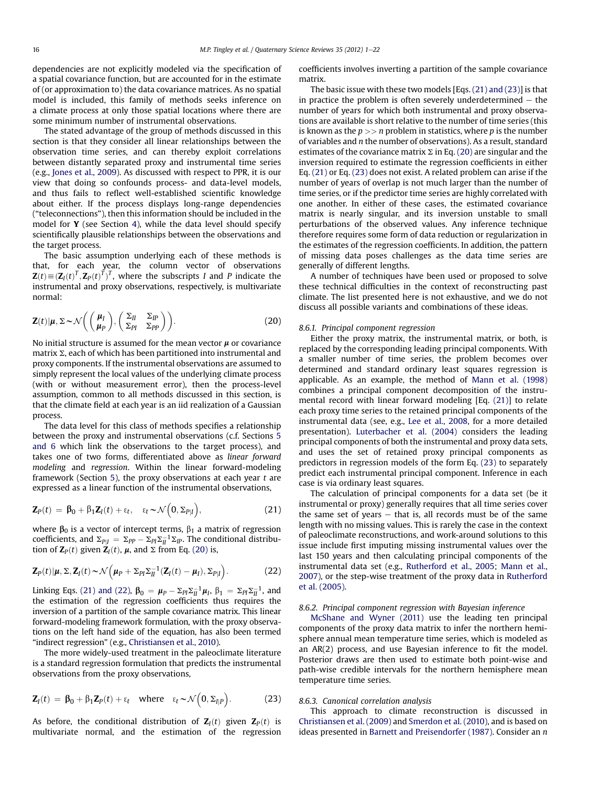<span id="page-15-0"></span>dependencies are not explicitly modeled via the specification of a spatial covariance function, but are accounted for in the estimate of (or approximation to) the data covariance matrices. As no spatial model is included, this family of methods seeks inference on a climate process at only those spatial locations where there are some minimum number of instrumental observations.

The stated advantage of the group of methods discussed in this section is that they consider all linear relationships between the observation time series, and can thereby exploit correlations between distantly separated proxy and instrumental time series (e.g., [Jones et al., 2009\)](#page-20-0). As discussed with respect to PPR, it is our view that doing so confounds process- and data-level models, and thus fails to reflect well-established scientific knowledge about either. If the process displays long-range dependencies ("teleconnections"), then this information should be included in the model for Y (see Section [4\)](#page-4-0), while the data level should specify scientifically plausible relationships between the observations and the target process.

The basic assumption underlying each of these methods is that, for each year, the column vector of observations  $\mathbf{Z}(t) = (\mathbf{Z}_I(t)^T, \mathbf{Z}_P(t)^T)^T$ , where the subscripts I and P indicate the instrumental and provy observations respectively is multivariate instrumental and proxy observations, respectively, is multivariate normal:

$$
\mathbf{Z}(t)|\boldsymbol{\mu}, \boldsymbol{\Sigma} \sim \mathcal{N}\bigg(\bigg(\frac{\boldsymbol{\mu}_I}{\boldsymbol{\mu}_P}\bigg), \bigg(\frac{\boldsymbol{\Sigma}_{II}}{\boldsymbol{\Sigma}_{PI}}\frac{\boldsymbol{\Sigma}_{IP}}{\boldsymbol{\Sigma}_{PP}}\bigg)\bigg). \tag{20}
$$

No initial structure is assumed for the mean vector  $\mu$  or covariance matrix  $\Sigma$ , each of which has been partitioned into instrumental and proxy components. If the instrumental observations are assumed to simply represent the local values of the underlying climate process (with or without measurement error), then the process-level assumption, common to all methods discussed in this section, is that the climate field at each year is an iid realization of a Gaussian process.

The data level for this class of methods specifies a relationship between the proxy and instrumental observations (c.f. Sections [5](#page-6-0) [and 6](#page-6-0) which link the observations to the target process), and takes one of two forms, differentiated above as linear forward modeling and regression. Within the linear forward-modeling framework (Section [5](#page-6-0)), the proxy observations at each year  $t$  are expressed as a linear function of the instrumental observations,

$$
\mathbf{Z}_P(t) = \mathbf{\beta}_0 + \beta_1 \mathbf{Z}_I(t) + \varepsilon_t, \quad \varepsilon_t \sim \mathcal{N}\Big(0, \Sigma_{P|I}\Big), \tag{21}
$$

where  $\beta_0$  is a vector of intercept terms,  $\beta_1$  a matrix of regression coefficients, and  $\Sigma_{PI} = \Sigma_{PP} - \Sigma_{PI} \Sigma_{II}^{-1} \Sigma_{IP}$ . The conditional distribu-<br>tion of **7**-(t) given **7**-(t) u and  $\Sigma$  from Eq. (20) is tion of  $\mathbf{Z}_P(t)$  given  $\mathbf{Z}_I(t)$ ,  $\boldsymbol{\mu}$ , and  $\Sigma$  from Eq. (20) is,

$$
\mathbf{Z}_{P}(t)|\boldsymbol{\mu},\boldsymbol{\Sigma},\mathbf{Z}_{I}(t)\sim\mathcal{N}\Big(\boldsymbol{\mu}_{P}+\boldsymbol{\Sigma}_{PI}\boldsymbol{\Sigma}_{II}^{-1}(\mathbf{Z}_{I}(t)-\boldsymbol{\mu}_{I}),\boldsymbol{\Sigma}_{P|I}\Big). \hspace{1cm} (22)
$$

Linking Eqs. (21) and (22),  $\beta_0 = \mu_P - \sum p_i \sum_l^{-1} \mu_l$ ,  $\beta_1 = \sum p_i \sum_l^{-1}$ , and the estimation of the regression coefficients thus requires the the estimation of the regression coefficients thus requires the inversion of a partition of the sample covariance matrix. This linear forward-modeling framework formulation, with the proxy observations on the left hand side of the equation, has also been termed "indirect regression" (e.g., [Christiansen et al., 2010\)](#page-19-0).

The more widely-used treatment in the paleoclimate literature is a standard regression formulation that predicts the instrumental observations from the proxy observations,

$$
\mathbf{Z}_I(t) = \mathbf{\beta}_0 + \beta_1 \mathbf{Z}_P(t) + \varepsilon_t \quad \text{where} \quad \varepsilon_t \sim \mathcal{N}\left(0, \Sigma_{I|P}\right). \tag{23}
$$

As before, the conditional distribution of  $Z_I(t)$  given  $Z_P(t)$  is multivariate normal, and the estimation of the regression coefficients involves inverting a partition of the sample covariance matrix.

The basic issue with these two models [Eqs. (21) and (23)] is that in practice the problem is often severely underdetermined  $-$  the number of years for which both instrumental and proxy observations are available is short relative to the number of time series (this is known as the  $p \gg$  n problem in statistics, where p is the number of variables and n the number of observations). As a result, standard estimates of the covariance matrix  $\Sigma$  in Eq. (20) are singular and the inversion required to estimate the regression coefficients in either Eq. (21) or Eq. (23) does not exist. A related problem can arise if the number of years of overlap is not much larger than the number of time series, or if the predictor time series are highly correlated with one another. In either of these cases, the estimated covariance matrix is nearly singular, and its inversion unstable to small perturbations of the observed values. Any inference technique therefore requires some form of data reduction or regularization in the estimates of the regression coefficients. In addition, the pattern of missing data poses challenges as the data time series are generally of different lengths.

A number of techniques have been used or proposed to solve these technical difficulties in the context of reconstructing past climate. The list presented here is not exhaustive, and we do not discuss all possible variants and combinations of these ideas.

## 8.6.1. Principal component regression

Either the proxy matrix, the instrumental matrix, or both, is replaced by the corresponding leading principal components. With a smaller number of time series, the problem becomes over determined and standard ordinary least squares regression is applicable. As an example, the method of [Mann et al. \(1998\)](#page-20-0) combines a principal component decomposition of the instrumental record with linear forward modeling [Eq. (21)] to relate each proxy time series to the retained principal components of the instrumental data (see, e.g., [Lee et al., 2008](#page-20-0), for a more detailed presentation). [Luterbacher et al. \(2004\)](#page-20-0) considers the leading principal components of both the instrumental and proxy data sets, and uses the set of retained proxy principal components as predictors in regression models of the form Eq. (23) to separately predict each instrumental principal component. Inference in each case is via ordinary least squares.

The calculation of principal components for a data set (be it instrumental or proxy) generally requires that all time series cover the same set of years  $-$  that is, all records must be of the same length with no missing values. This is rarely the case in the context of paleoclimate reconstructions, and work-around solutions to this issue include first imputing missing instrumental values over the last 150 years and then calculating principal components of the instrumental data set (e.g., [Rutherford et al., 2005](#page-21-0); [Mann et al.,](#page-20-0) [2007\)](#page-20-0), or the step-wise treatment of the proxy data in [Rutherford](#page-21-0) [et al. \(2005\).](#page-21-0)

## 8.6.2. Principal component regression with Bayesian inference

[McShane and Wyner \(2011\)](#page-21-0) use the leading ten principal components of the proxy data matrix to infer the northern hemisphere annual mean temperature time series, which is modeled as an AR(2) process, and use Bayesian inference to fit the model. Posterior draws are then used to estimate both point-wise and path-wise credible intervals for the northern hemisphere mean temperature time series.

# 8.6.3. Canonical correlation analysis

This approach to climate reconstruction is discussed in [Christiansen et al. \(2009\)](#page-19-0) and [Smerdon et al. \(2010\)](#page-21-0), and is based on ideas presented in [Barnett and Preisendorfer \(1987\)](#page-19-0). Consider an n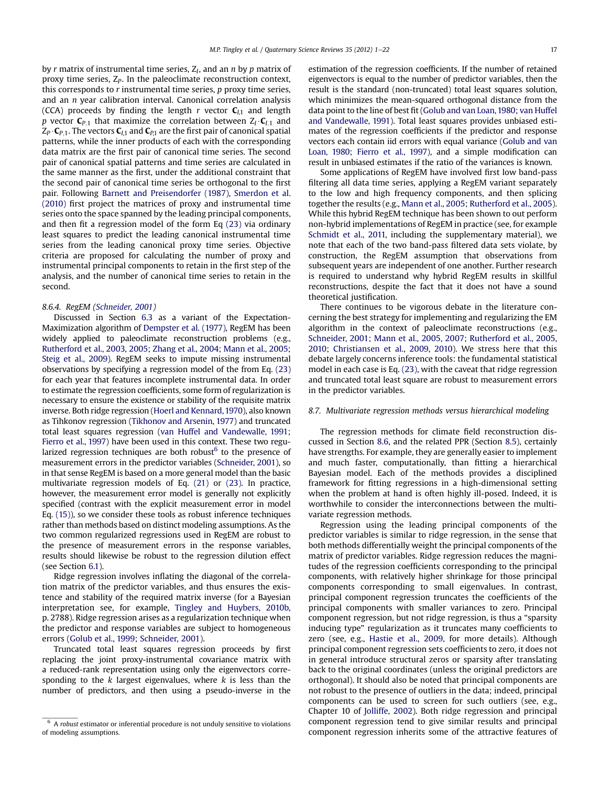by r matrix of instrumental time series,  $Z_I$ , and an n by p matrix of proxy time series,  $Z_p$ . In the paleoclimate reconstruction context, this corresponds to  $r$  instrumental time series,  $p$  proxy time series, and an n year calibration interval. Canonical correlation analysis (CCA) proceeds by finding the length r vector  $C_{1,1}$  and length p vector  $C_{P,1}$  that maximize the correlation between  $Z_I \cdot C_{I,1}$  and  $Z_P \cdot C_{P,1}$ . The vectors  $C_{I,1}$  and  $C_{P,1}$  are the first pair of canonical spatial patterns, while the inner products of each with the corresponding data matrix are the first pair of canonical time series. The second pair of canonical spatial patterns and time series are calculated in the same manner as the first, under the additional constraint that the second pair of canonical time series be orthogonal to the first pair. Following [Barnett and Preisendorfer \(1987\)](#page-19-0), [Smerdon et al.](#page-21-0) [\(2010\)](#page-21-0) first project the matrices of proxy and instrumental time series onto the space spanned by the leading principal components, and then fit a regression model of the form Eq [\(23\)](#page-15-0) via ordinary least squares to predict the leading canonical instrumental time series from the leading canonical proxy time series. Objective criteria are proposed for calculating the number of proxy and instrumental principal components to retain in the first step of the analysis, and the number of canonical time series to retain in the second.

# 8.6.4. RegEM [\(Schneider, 2001](#page-21-0))

Discussed in Section [6.3](#page-9-0) as a variant of the Expectation-Maximization algorithm of [Dempster et al. \(1977\),](#page-19-0) RegEM has been widely applied to paleoclimate reconstruction problems (e.g., [Rutherford et al., 2003](#page-21-0), [2005](#page-20-0); [Zhang et al., 2004;](#page-21-0) [Mann et al., 2005;](#page-20-0) [Steig et al., 2009\)](#page-21-0). RegEM seeks to impute missing instrumental observations by specifying a regression model of the from Eq. [\(23\)](#page-15-0) for each year that features incomplete instrumental data. In order to estimate the regression coefficients, some form of regularization is necessary to ensure the existence or stability of the requisite matrix inverse. Both ridge regression [\(Hoerl and Kennard, 1970\)](#page-20-0), also known as Tihkonov regression [\(Tikhonov and Arsenin, 1977](#page-21-0)) and truncated total least squares regression [\(van Huffel and Vandewalle, 1991;](#page-20-0) [Fierro et al., 1997\)](#page-20-0) have been used in this context. These two regularized regression techniques are both robust $<sup>6</sup>$  to the presence of</sup> measurement errors in the predictor variables [\(Schneider, 2001](#page-21-0)), so in that sense RegEM is based on a more general model than the basic multivariate regression models of Eq. [\(21\)](#page-15-0) or [\(23\).](#page-15-0) In practice, however, the measurement error model is generally not explicitly specified (contrast with the explicit measurement error in model Eq. [\(15\)\)](#page-13-0), so we consider these tools as robust inference techniques rather than methods based on distinct modeling assumptions. As the two common regularized regressions used in RegEM are robust to the presence of measurement errors in the response variables, results should likewise be robust to the regression dilution effect (see Section [6.1\)](#page-8-0).

Ridge regression involves inflating the diagonal of the correlation matrix of the predictor variables, and thus ensures the existence and stability of the required matrix inverse (for a Bayesian interpretation see, for example, [Tingley and Huybers, 2010b,](#page-21-0) p. 2788). Ridge regression arises as a regularization technique when the predictor and response variables are subject to homogeneous errors ([Golub et al., 1999](#page-20-0); [Schneider, 2001\)](#page-21-0).

Truncated total least squares regression proceeds by first replacing the joint proxy-instrumental covariance matrix with a reduced-rank representation using only the eigenvectors corresponding to the  $k$  largest eigenvalues, where  $k$  is less than the number of predictors, and then using a pseudo-inverse in the estimation of the regression coefficients. If the number of retained eigenvectors is equal to the number of predictor variables, then the result is the standard (non-truncated) total least squares solution, which minimizes the mean-squared orthogonal distance from the data point to the line of best fit [\(Golub and van Loan, 1980](#page-20-0); [van Huffel](#page-20-0) [and Vandewalle, 1991](#page-20-0)). Total least squares provides unbiased estimates of the regression coefficients if the predictor and response vectors each contain iid errors with equal variance ([Golub and van](#page-20-0) [Loan, 1980](#page-20-0); [Fierro et al., 1997](#page-20-0)), and a simple modification can result in unbiased estimates if the ratio of the variances is known.

Some applications of RegEM have involved first low band-pass filtering all data time series, applying a RegEM variant separately to the low and high frequency components, and then splicing together the results (e.g., [Mann et al., 2005;](#page-20-0) [Rutherford et al., 2005\)](#page-21-0). While this hybrid RegEM technique has been shown to out perform non-hybrid implementations of RegEM in practice (see, for example [Schmidt et al., 2011,](#page-21-0) including the supplementary material), we note that each of the two band-pass filtered data sets violate, by construction, the RegEM assumption that observations from subsequent years are independent of one another. Further research is required to understand why hybrid RegEM results in skillful reconstructions, despite the fact that it does not have a sound theoretical justification.

There continues to be vigorous debate in the literature concerning the best strategy for implementing and regularizing the EM algorithm in the context of paleoclimate reconstructions (e.g., [Schneider, 2001](#page-21-0); [Mann et al., 2005,](#page-20-0) [2007;](#page-20-0) [Rutherford et al., 2005,](#page-21-0) [2010;](#page-20-0) [Christiansen et al., 2009,](#page-19-0) [2010\)](#page-19-0). We stress here that this debate largely concerns inference tools: the fundamental statistical model in each case is Eq. [\(23\)](#page-15-0), with the caveat that ridge regression and truncated total least square are robust to measurement errors in the predictor variables.

# 8.7. Multivariate regression methods versus hierarchical modeling

The regression methods for climate field reconstruction discussed in Section [8.6](#page-14-0), and the related PPR (Section [8.5\)](#page-14-0), certainly have strengths. For example, they are generally easier to implement and much faster, computationally, than fitting a hierarchical Bayesian model. Each of the methods provides a disciplined framework for fitting regressions in a high-dimensional setting when the problem at hand is often highly ill-posed. Indeed, it is worthwhile to consider the interconnections between the multivariate regression methods.

Regression using the leading principal components of the predictor variables is similar to ridge regression, in the sense that both methods differentially weight the principal components of the matrix of predictor variables. Ridge regression reduces the magnitudes of the regression coefficients corresponding to the principal components, with relatively higher shrinkage for those principal components corresponding to small eigenvalues. In contrast, principal component regression truncates the coefficients of the principal components with smaller variances to zero. Principal component regression, but not ridge regression, is thus a "sparsity inducing type" regularization as it truncates many coefficients to zero (see, e.g., [Hastie et al., 2009](#page-20-0), for more details). Although principal component regression sets coefficients to zero, it does not in general introduce structural zeros or sparsity after translating back to the original coordinates (unless the original predictors are orthogonal). It should also be noted that principal components are not robust to the presence of outliers in the data; indeed, principal components can be used to screen for such outliers (see, e.g., Chapter 10 of [Jolliffe, 2002\)](#page-20-0). Both ridge regression and principal component regression tend to give similar results and principal component regression inherits some of the attractive features of

 $6$  A robust estimator or inferential procedure is not unduly sensitive to violations of modeling assumptions.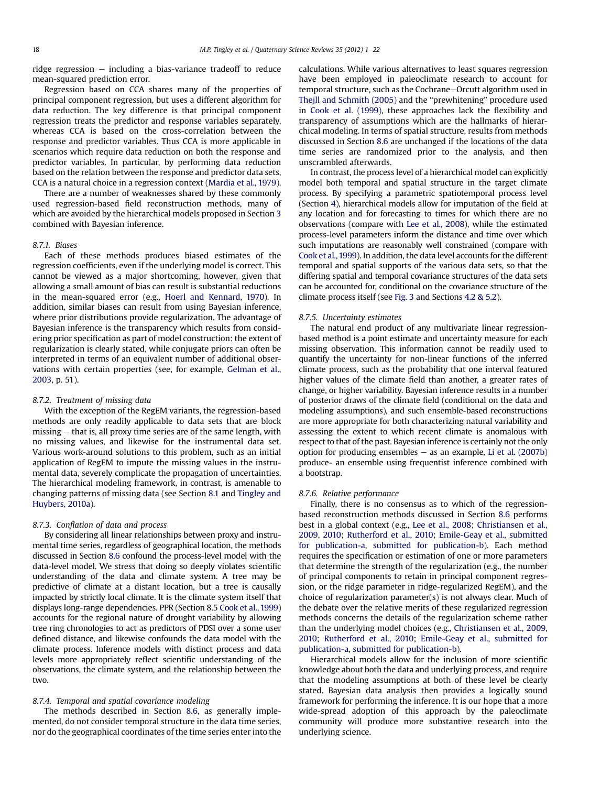ridge regression  $-$  including a bias-variance tradeoff to reduce mean-squared prediction error.

Regression based on CCA shares many of the properties of principal component regression, but uses a different algorithm for data reduction. The key difference is that principal component regression treats the predictor and response variables separately, whereas CCA is based on the cross-correlation between the response and predictor variables. Thus CCA is more applicable in scenarios which require data reduction on both the response and predictor variables. In particular, by performing data reduction based on the relation between the response and predictor data sets, CCA is a natural choice in a regression context [\(Mardia et al., 1979\)](#page-21-0).

There are a number of weaknesses shared by these commonly used regression-based field reconstruction methods, many of which are avoided by the hierarchical models proposed in Section [3](#page-2-0) combined with Bayesian inference.

# 8.7.1. Biases

Each of these methods produces biased estimates of the regression coefficients, even if the underlying model is correct. This cannot be viewed as a major shortcoming, however, given that allowing a small amount of bias can result is substantial reductions in the mean-squared error (e.g., [Hoerl and Kennard, 1970\)](#page-20-0). In addition, similar biases can result from using Bayesian inference, where prior distributions provide regularization. The advantage of Bayesian inference is the transparency which results from considering prior specification as part of model construction: the extent of regularization is clearly stated, while conjugate priors can often be interpreted in terms of an equivalent number of additional observations with certain properties (see, for example, [Gelman et al.,](#page-20-0) [2003](#page-20-0), p. 51).

# 8.7.2. Treatment of missing data

With the exception of the RegEM variants, the regression-based methods are only readily applicable to data sets that are block  $missing - that$  is, all proxy time series are of the same length, with no missing values, and likewise for the instrumental data set. Various work-around solutions to this problem, such as an initial application of RegEM to impute the missing values in the instrumental data, severely complicate the propagation of uncertainties. The hierarchical modeling framework, in contrast, is amenable to changing patterns of missing data (see Section [8.1](#page-13-0) and [Tingley and](#page-21-0) [Huybers, 2010a](#page-21-0)).

# 8.7.3. Conflation of data and process

By considering all linear relationships between proxy and instrumental time series, regardless of geographical location, the methods discussed in Section [8.6](#page-14-0) confound the process-level model with the data-level model. We stress that doing so deeply violates scientific understanding of the data and climate system. A tree may be predictive of climate at a distant location, but a tree is causally impacted by strictly local climate. It is the climate system itself that displays long-range dependencies. PPR (Section 8.5 [Cook et al., 1999\)](#page-19-0) accounts for the regional nature of drought variability by allowing tree ring chronologies to act as predictors of PDSI over a some user defined distance, and likewise confounds the data model with the climate process. Inference models with distinct process and data levels more appropriately reflect scientific understanding of the observations, the climate system, and the relationship between the two.

# 8.7.4. Temporal and spatial covariance modeling

The methods described in Section [8.6](#page-14-0), as generally implemented, do not consider temporal structure in the data time series, nor do the geographical coordinates of the time series enter into the calculations. While various alternatives to least squares regression have been employed in paleoclimate research to account for temporal structure, such as the Cochrane-Orcutt algorithm used in [Thejll and Schmith \(2005\)](#page-21-0) and the "prewhitening" procedure used in [Cook et al. \(1999\)](#page-19-0), these approaches lack the flexibility and transparency of assumptions which are the hallmarks of hierarchical modeling. In terms of spatial structure, results from methods discussed in Section [8.6](#page-14-0) are unchanged if the locations of the data time series are randomized prior to the analysis, and then unscrambled afterwards.

In contrast, the process level of a hierarchical model can explicitly model both temporal and spatial structure in the target climate process. By specifying a parametric spatiotemporal process level (Section [4](#page-4-0)), hierarchical models allow for imputation of the field at any location and for forecasting to times for which there are no observations (compare with [Lee et al., 2008\)](#page-20-0), while the estimated process-level parameters inform the distance and time over which such imputations are reasonably well constrained (compare with [Cook et al.,1999](#page-19-0)). In addition, the data level accounts for the different temporal and spatial supports of the various data sets, so that the differing spatial and temporal covariance structures of the data sets can be accounted for, conditional on the covariance structure of the climate process itself (see [Fig. 3](#page-3-0) and Sections [4.2 & 5.2\)](#page-4-0).

#### 8.7.5. Uncertainty estimates

The natural end product of any multivariate linear regressionbased method is a point estimate and uncertainty measure for each missing observation. This information cannot be readily used to quantify the uncertainty for non-linear functions of the inferred climate process, such as the probability that one interval featured higher values of the climate field than another, a greater rates of change, or higher variability. Bayesian inference results in a number of posterior draws of the climate field (conditional on the data and modeling assumptions), and such ensemble-based reconstructions are more appropriate for both characterizing natural variability and assessing the extent to which recent climate is anomalous with respect to that of the past. Bayesian inference is certainly not the only option for producing ensembles  $-$  as an example, [Li et al. \(2007b\)](#page-20-0) produce- an ensemble using frequentist inference combined with a bootstrap.

# 8.7.6. Relative performance

Finally, there is no consensus as to which of the regressionbased reconstruction methods discussed in Section [8.6](#page-14-0) performs best in a global context (e.g., [Lee et al., 2008;](#page-20-0) [Christiansen et al.,](#page-19-0) [2009](#page-19-0), [2010](#page-19-0); [Rutherford et al., 2010](#page-21-0); [Emile-Geay et al., submitted](#page-20-0) [for publication-a,](#page-20-0) [submitted for publication-b\)](#page-20-0). Each method requires the specification or estimation of one or more parameters that determine the strength of the regularization (e.g., the number of principal components to retain in principal component regression, or the ridge parameter in ridge-regularized RegEM), and the choice of regularization parameter(s) is not always clear. Much of the debate over the relative merits of these regularized regression methods concerns the details of the regularization scheme rather than the underlying model choices (e.g., [Christiansen et al., 2009,](#page-19-0) [2010;](#page-19-0) [Rutherford et al., 2010;](#page-21-0) [Emile-Geay et al., submitted for](#page-20-0) [publication-a](#page-20-0), [submitted for publication-b](#page-20-0)).

Hierarchical models allow for the inclusion of more scientific knowledge about both the data and underlying process, and require that the modeling assumptions at both of these level be clearly stated. Bayesian data analysis then provides a logically sound framework for performing the inference. It is our hope that a more wide-spread adoption of this approach by the paleoclimate community will produce more substantive research into the underlying science.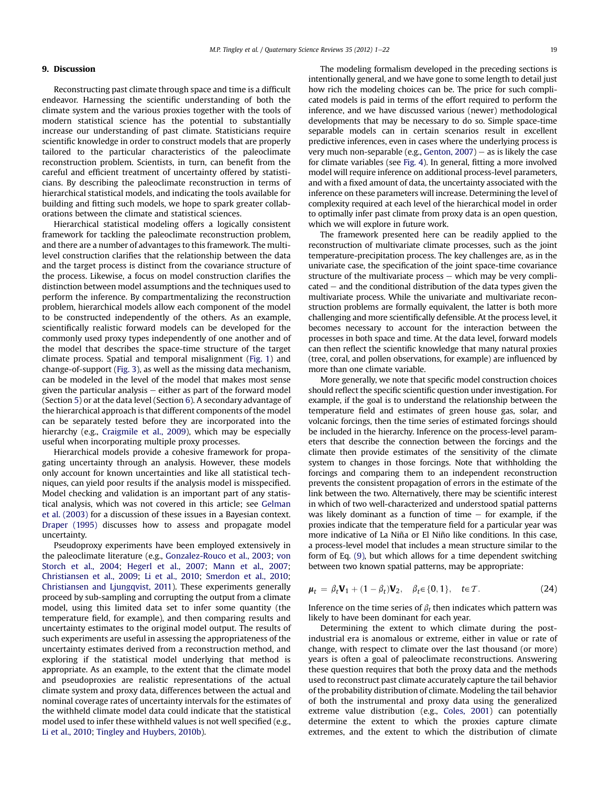# <span id="page-18-0"></span>9. Discussion

Reconstructing past climate through space and time is a difficult endeavor. Harnessing the scientific understanding of both the climate system and the various proxies together with the tools of modern statistical science has the potential to substantially increase our understanding of past climate. Statisticians require scientific knowledge in order to construct models that are properly tailored to the particular characteristics of the paleoclimate reconstruction problem. Scientists, in turn, can benefit from the careful and efficient treatment of uncertainty offered by statisticians. By describing the paleoclimate reconstruction in terms of hierarchical statistical models, and indicating the tools available for building and fitting such models, we hope to spark greater collaborations between the climate and statistical sciences.

Hierarchical statistical modeling offers a logically consistent framework for tackling the paleoclimate reconstruction problem, and there are a number of advantages to this framework. The multilevel construction clarifies that the relationship between the data and the target process is distinct from the covariance structure of the process. Likewise, a focus on model construction clarifies the distinction between model assumptions and the techniques used to perform the inference. By compartmentalizing the reconstruction problem, hierarchical models allow each component of the model to be constructed independently of the others. As an example, scientifically realistic forward models can be developed for the commonly used proxy types independently of one another and of the model that describes the space-time structure of the target climate process. Spatial and temporal misalignment ([Fig. 1\)](#page-2-0) and change-of-support [\(Fig. 3\)](#page-3-0), as well as the missing data mechanism, can be modeled in the level of the model that makes most sense given the particular analysis  $-$  either as part of the forward model (Section [5\)](#page-6-0) or at the data level (Section [6\)](#page-8-0). A secondary advantage of the hierarchical approach is that different components of the model can be separately tested before they are incorporated into the hierarchy (e.g., [Craigmile et al., 2009\)](#page-19-0), which may be especially useful when incorporating multiple proxy processes.

Hierarchical models provide a cohesive framework for propagating uncertainty through an analysis. However, these models only account for known uncertainties and like all statistical techniques, can yield poor results if the analysis model is misspecified. Model checking and validation is an important part of any statistical analysis, which was not covered in this article; see [Gelman](#page-20-0) [et al. \(2003\)](#page-20-0) for a discussion of these issues in a Bayesian context. [Draper \(1995\)](#page-19-0) discusses how to assess and propagate model uncertainty.

Pseudoproxy experiments have been employed extensively in the paleoclimate literature (e.g., [Gonzalez-Rouco et al., 2003;](#page-20-0) [von](#page-21-0) [Storch et al., 2004](#page-21-0); [Hegerl et al., 2007;](#page-20-0) [Mann et al., 2007;](#page-20-0) [Christiansen et al., 2009](#page-19-0); [Li et al., 2010](#page-20-0); [Smerdon et al., 2010;](#page-21-0) [Christiansen and Ljungqvist, 2011\)](#page-19-0). These experiments generally proceed by sub-sampling and corrupting the output from a climate model, using this limited data set to infer some quantity (the temperature field, for example), and then comparing results and uncertainty estimates to the original model output. The results of such experiments are useful in assessing the appropriateness of the uncertainty estimates derived from a reconstruction method, and exploring if the statistical model underlying that method is appropriate. As an example, to the extent that the climate model and pseudoproxies are realistic representations of the actual climate system and proxy data, differences between the actual and nominal coverage rates of uncertainty intervals for the estimates of the withheld climate model data could indicate that the statistical model used to infer these withheld values is not well specified (e.g., [Li et al., 2010](#page-20-0); [Tingley and Huybers, 2010b](#page-21-0)).

The modeling formalism developed in the preceding sections is intentionally general, and we have gone to some length to detail just how rich the modeling choices can be. The price for such complicated models is paid in terms of the effort required to perform the inference, and we have discussed various (newer) methodological developments that may be necessary to do so. Simple space-time separable models can in certain scenarios result in excellent predictive inferences, even in cases where the underlying process is very much non-separable (e.g., Genton,  $2007$ ) – as is likely the case for climate variables (see [Fig. 4](#page-7-0)). In general, fitting a more involved model will require inference on additional process-level parameters, and with a fixed amount of data, the uncertainty associated with the inference on these parameters will increase. Determining the level of complexity required at each level of the hierarchical model in order to optimally infer past climate from proxy data is an open question, which we will explore in future work.

The framework presented here can be readily applied to the reconstruction of multivariate climate processes, such as the joint temperature-precipitation process. The key challenges are, as in the univariate case, the specification of the joint space-time covariance structure of the multivariate process  $-$  which may be very compli $cated - and the conditional distribution of the data types given the$ multivariate process. While the univariate and multivariate reconstruction problems are formally equivalent, the latter is both more challenging and more scientifically defensible. At the process level, it becomes necessary to account for the interaction between the processes in both space and time. At the data level, forward models can then reflect the scientific knowledge that many natural proxies (tree, coral, and pollen observations, for example) are influenced by more than one climate variable.

More generally, we note that specific model construction choices should reflect the specific scientific question under investigation. For example, if the goal is to understand the relationship between the temperature field and estimates of green house gas, solar, and volcanic forcings, then the time series of estimated forcings should be included in the hierarchy. Inference on the process-level parameters that describe the connection between the forcings and the climate then provide estimates of the sensitivity of the climate system to changes in those forcings. Note that withholding the forcings and comparing them to an independent reconstruction prevents the consistent propagation of errors in the estimate of the link between the two. Alternatively, there may be scientific interest in which of two well-characterized and understood spatial patterns was likely dominant as a function of time  $-$  for example, if the proxies indicate that the temperature field for a particular year was more indicative of La Niña or El Niño like conditions. In this case, a process-level model that includes a mean structure similar to the form of Eq. [\(9\),](#page-5-0) but which allows for a time dependent switching between two known spatial patterns, may be appropriate:

$$
\boldsymbol{\mu}_t = \beta_t \mathbf{V}_1 + (1 - \beta_t) \mathbf{V}_2, \quad \beta_t \in \{0, 1\}, \quad t \in \mathcal{T}.
$$

Inference on the time series of  $\beta_t$  then indicates which pattern was likely to have been dominant for each year.

Determining the extent to which climate during the postindustrial era is anomalous or extreme, either in value or rate of change, with respect to climate over the last thousand (or more) years is often a goal of paleoclimate reconstructions. Answering these question requires that both the proxy data and the methods used to reconstruct past climate accurately capture the tail behavior of the probability distribution of climate. Modeling the tail behavior of both the instrumental and proxy data using the generalized extreme value distribution (e.g., [Coles, 2001](#page-19-0)) can potentially determine the extent to which the proxies capture climate extremes, and the extent to which the distribution of climate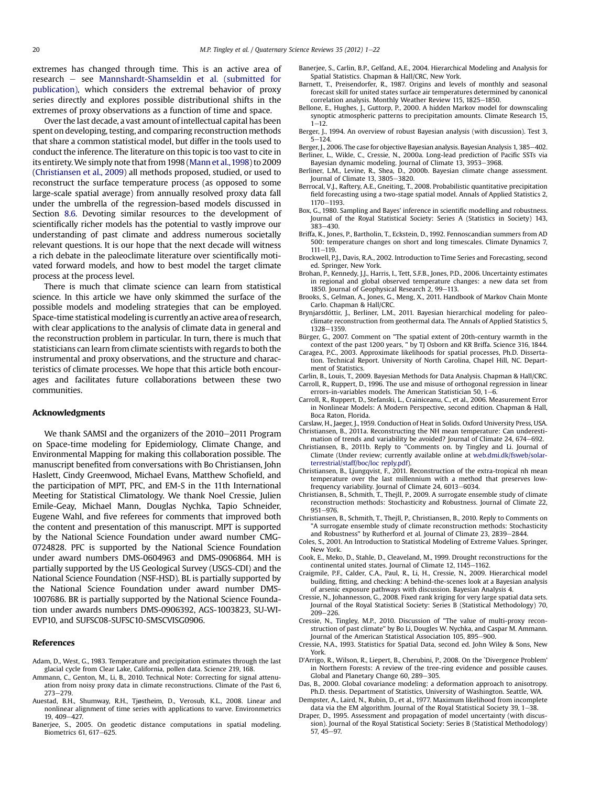<span id="page-19-0"></span>extremes has changed through time. This is an active area of research – see [Mannshardt-Shamseldin et al. \(submitted for](#page-21-0) [publication\)](#page-21-0), which considers the extremal behavior of proxy series directly and explores possible distributional shifts in the extremes of proxy observations as a function of time and space.

Over the last decade, a vast amount of intellectual capital has been spent on developing, testing, and comparing reconstruction methods that share a common statistical model, but differ in the tools used to conduct the inference. The literature on this topic is too vast to cite in its entirety.We simply note that from 1998 [\(Mann et al.,1998\)](#page-20-0) to 2009 (Christiansen et al., 2009) all methods proposed, studied, or used to reconstruct the surface temperature process (as opposed to some large-scale spatial average) from annually resolved proxy data fall under the umbrella of the regression-based models discussed in Section [8.6](#page-14-0). Devoting similar resources to the development of scientifically richer models has the potential to vastly improve our understanding of past climate and address numerous societally relevant questions. It is our hope that the next decade will witness a rich debate in the paleoclimate literature over scientifically motivated forward models, and how to best model the target climate process at the process level.

There is much that climate science can learn from statistical science. In this article we have only skimmed the surface of the possible models and modeling strategies that can be employed. Space-time statistical modeling is currently an active area of research, with clear applications to the analysis of climate data in general and the reconstruction problem in particular. In turn, there is much that statisticians can learn from climate scientists with regards to both the instrumental and proxy observations, and the structure and characteristics of climate processes. We hope that this article both encourages and facilitates future collaborations between these two communities.

# Acknowledgments

We thank SAMSI and the organizers of the 2010-2011 Program on Space-time modeling for Epidemiology, Climate Change, and Environmental Mapping for making this collaboration possible. The manuscript benefited from conversations with Bo Christiansen, John Haslett, Cindy Greenwood, Michael Evans, Matthew Schofield, and the participation of MPT, PFC, and EM-S in the 11th International Meeting for Statistical Climatology. We thank Noel Cressie, Julien Emile-Geay, Michael Mann, Douglas Nychka, Tapio Schneider, Eugene Wahl, and five referees for comments that improved both the content and presentation of this manuscript. MPT is supported by the National Science Foundation under award number CMG-0724828. PFC is supported by the National Science Foundation under award numbers DMS-0604963 and DMS-0906864. MH is partially supported by the US Geological Survey (USGS-CDI) and the National Science Foundation (NSF-HSD). BL is partially supported by the National Science Foundation under award number DMS-1007686. BR is partially supported by the National Science Foundation under awards numbers DMS-0906392, AGS-1003823, SU-WI-EVP10, and SUFSC08-SUFSC10-SMSCVISG0906.

#### References

- Adam, D., West, G., 1983. Temperature and precipitation estimates through the last glacial cycle from Clear Lake, California, pollen data. Science 219, 168.
- Ammann, C., Genton, M., Li, B., 2010. Technical Note: Correcting for signal attenuation from noisy proxy data in climate reconstructions. Climate of the Past 6,  $273 - 279.$
- Auestad, B.H., Shumway, R.H., Tjøstheim, D., Verosub, K.L., 2008. Linear and nonlinear alignment of time series with applications to varve. Environmetrics 19, 409-427
- Banerjee, S., 2005. On geodetic distance computations in spatial modeling. Biometrics 61, 617-625.
- Banerjee, S., Carlin, B.P., Gelfand, A.E., 2004. Hierarchical Modeling and Analysis for Spatial Statistics. Chapman & Hall/CRC, New York.
- Barnett, T., Preisendorfer, R., 1987. Origins and levels of monthly and seasonal forecast skill for united states surface air temperatures determined by canonical correlation analysis. Monthly Weather Review 115, 1825-1850.
- Bellone, E., Hughes, J., Guttorp, P., 2000. A hidden Markov model for downscaling synoptic atmospheric patterns to precipitation amounts. Climate Research 15,  $1 - 12$ .
- Berger, J., 1994. An overview of robust Bayesian analysis (with discussion). Test 3,  $5 - 124$ .
- Berger, J., 2006. The case for objective Bayesian analysis. Bayesian Analysis 1, 385–402. Berliner, L., Wikle, C., Cressie, N., 2000a. Long-lead prediction of Pacific SSTs via Bayesian dynamic modeling. Journal of Climate 13, 3953-3968.
- Berliner, L.M., Levine, R., Shea, D., 2000b. Bayesian climate change assessment. Iournal of Climate  $13, 3805 - 3820$ .
- Berrocal, V.J., Raftery, A.E., Gneiting, T., 2008. Probabilistic quantitative precipitation field forecasting using a two-stage spatial model. Annals of Applied Statistics 2, 1170-1193.
- Box, G., 1980. Sampling and Bayes' inference in scientific modelling and robustness. Journal of the Royal Statistical Society: Series A (Statistics in Society) 143,  $383 - 430$
- Briffa, K., Jones, P., Bartholin, T., Eckstein, D., 1992. Fennoscandian summers from AD 500: temperature changes on short and long timescales. Climate Dynamics 7,  $111 - 119$
- Brockwell, P.J., Davis, R.A., 2002. Introduction to Time Series and Forecasting, second ed. Springer, New York.
- Brohan, P., Kennedy, J.J., Harris, I., Tett, S.F.B., Jones, P.D., 2006. Uncertainty estimates in regional and global observed temperature changes: a new data set from 1850. Journal of Geophysical Research 2, 99-113.
- Brooks, S., Gelman, A., Jones, G., Meng, X., 2011. Handbook of Markov Chain Monte Carlo. Chapman & Hall/CRC.
- Brynjarsdóttir, J., Berliner, L.M., 2011. Bayesian hierarchical modeling for paleoclimate reconstruction from geothermal data. The Annals of Applied Statistics 5, 1328-1359
- Bürger, G., 2007. Comment on "The spatial extent of 20th-century warmth in the context of the past 1200 years, " by TJ Osborn and KR Briffa. Science 316, 1844.
- Caragea, P.C., 2003. Approximate likelihoods for spatial processes, Ph.D. Dissertation. Technical Report. University of North Carolina, Chapel Hill, NC. Department of Statistics.
- Carlin, B., Louis, T., 2009. Bayesian Methods for Data Analysis. Chapman & Hall/CRC. Carroll, R., Ruppert, D., 1996. The use and misuse of orthogonal regression in linear
- errors-in-variables models. The American Statistician 50,  $1-6$ . Carroll, R., Ruppert, D., Stefanski, L., Crainiceanu, C., et al., 2006. Measurement Error
- in Nonlinear Models: A Modern Perspective, second edition. Chapman & Hall, Boca Raton, Florida. Carslaw, H., Jaeger, J., 1959. Conduction of Heat in Solids. Oxford University Press, USA.
- Christiansen, B., 2011a. Reconstructing the NH mean temperature: Can underestimation of trends and variability be avoided? Journal of Climate 24, 674-692.
- Christiansen, B., 2011b. Reply to "Comments on. by Tingley and Li. Journal of Climate (Under review; currently available online at [web.dmi.dk/fsweb/solar](http://web.dmi.dk/fsweb/solar-%20terrestrial/staff/boc/loc%20reply.pdf)[terrestrial/staff/boc/loc reply.pdf\)](http://web.dmi.dk/fsweb/solar-%20terrestrial/staff/boc/loc%20reply.pdf).
- Christiansen, B., Ljungqvist, F., 2011. Reconstruction of the extra-tropical nh mean temperature over the last millennium with a method that preserves lowfrequency variability. Journal of Climate 24, 6013-6034.
- Christiansen, B., Schmith, T., Thejll, P., 2009. A surrogate ensemble study of climate reconstruction methods: Stochasticity and Robustness. Journal of Climate 22, 951-976.
- Christiansen, B., Schmith, T., Thejll, P., Christiansen, B., 2010. Reply to Comments on "A surrogate ensemble study of climate reconstruction methods: Stochasticity and Robustness" by Rutherford et al. Journal of Climate 23, 2839-2844.
- Coles, S., 2001. An Introduction to Statistical Modeling of Extreme Values. Springer, New York.
- Cook, E., Meko, D., Stahle, D., Cleaveland, M., 1999. Drought reconstructions for the continental united states. Journal of Climate  $12$ ,  $1145-1162$ .
- Craigmile, P.F., Calder, C.A., Paul, R., Li, H., Cressie, N., 2009. Hierarchical model building, fitting, and checking: A behind-the-scenes look at a Bayesian analysis of arsenic exposure pathways with discussion. Bayesian Analysis 4.
- Cressie, N., Johannesson, G., 2008. Fixed rank kriging for very large spatial data sets. Journal of the Royal Statistical Society: Series B (Statistical Methodology) 70, 209-226.
- Cressie, N., Tingley, M.P., 2010. Discussion of "The value of multi-proxy reconstruction of past climate" by Bo Li, Dougles W. Nychka, and Caspar M. Ammann. Journal of the American Statistical Association 105, 895-900.
- Cressie, N.A., 1993. Statistics for Spatial Data, second ed. John Wiley & Sons, New York.
- D'Arrigo, R., Wilson, R., Liepert, B., Cherubini, P., 2008. On the `Divergence Problem' in Northern Forests: A review of the tree-ring evidence and possible causes. Global and Planetary Change 60, 289-305.
- Das, B., 2000. Global covariance modeling: a deformation approach to anisotropy. Ph.D. thesis. Department of Statistics, University of Washington. Seattle, WA.
- Dempster, A., Laird, N., Rubin, D., et al., 1977. Maximum likelihood from incomplete data via the EM algorithm. Journal of the Royal Statistical Society 39,  $1-38$ .
- Draper, D., 1995. Assessment and propagation of model uncertainty (with discussion). Journal of the Royal Statistical Society: Series B (Statistical Methodology)  $57,45-97.$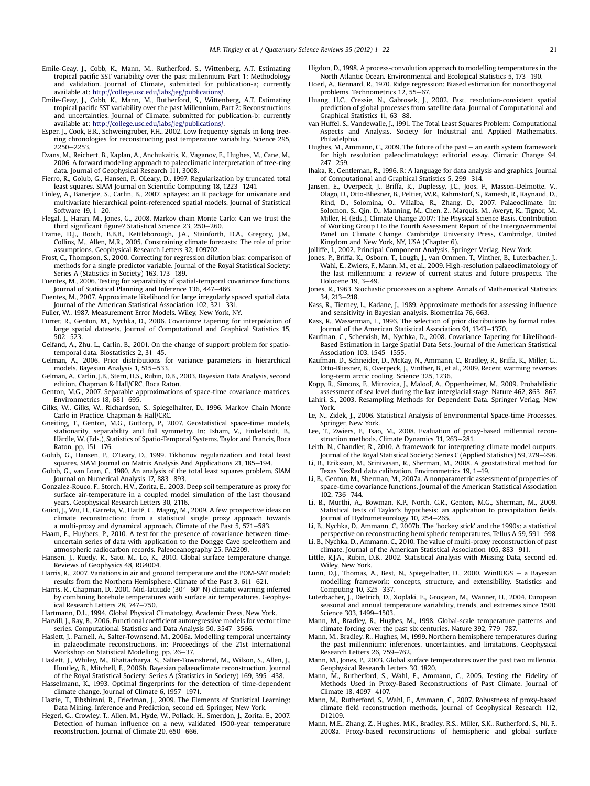- <span id="page-20-0"></span>Emile-Geay, J., Cobb, K., Mann, M., Rutherford, S., Wittenberg, A.T. Estimating tropical pacific SST variability over the past millennium. Part 1: Methodology and validation. Journal of Climate, submitted for publication-a; currently available at: [http://college.usc.edu/labs/jeg/publications/.](http://college.usc.edu/labs/jeg/publications/)
- Emile-Geay, J., Cobb, K., Mann, M., Rutherford, S., Wittenberg, A.T. Estimating tropical pacific SST variability over the past Millennium. Part 2: Reconstructions and uncertainties. Journal of Climate, submitted for publication-b; currently
- available at: [http://college.usc.edu/labs/jeg/publications/.](http://college.usc.edu/labs/jeg/publications/) Esper, J., Cook, E.R., Schweingruber, F.H., 2002. Low frequency signals in long treering chronologies for reconstructing past temperature variability. Science 295, 2250-2253.
- Evans, M., Reichert, B., Kaplan, A., Anchukaitis, K., Vaganov, E., Hughes, M., Cane, M., 2006. A forward modeling approach to paleoclimatic interpretation of tree-ring data. Journal of Geophysical Research 111, 3008.
- Fierro, R., Golub, G., Hansen, P., OLeary, D., 1997. Regularization by truncated total least squares. SIAM Journal on Scientific Computing 18, 1223-1241.
- Finley, A., Banerjee, S., Carlin, B., 2007. spBayes: an R package for univariate and multivariate hierarchical point-referenced spatial models. Journal of Statistical Software  $19.1 - 20$ .
- Flegal, J., Haran, M., Jones, G., 2008. Markov chain Monte Carlo: Can we trust the third significant figure? Statistical Science 23, 250-260.
- Frame, D.J., Booth, B.B.B., Kettleborough, J.A., Stainforth, D.A., Gregory, J.M., Collins, M., Allen, M.R., 2005. Constraining climate forecasts: The role of prior assumptions. Geophysical Research Letters 32, L09702.
- Frost, C., Thompson, S., 2000. Correcting for regression dilution bias: comparison of methods for a single predictor variable. Journal of the Royal Statistical Society: Series A (Statistics in Society) 163, 173-189.
- Fuentes, M., 2006. Testing for separability of spatial-temporal covariance functions. Journal of Statistical Planning and Inference 136, 447-466.
- Fuentes, M., 2007. Approximate likelihood for large irregularly spaced spatial data. Journal of the American Statistical Association 102, 321-331.
- Fuller, W., 1987. Measurement Error Models. Wiley, New York, NY.
- Furrer, R., Genton, M., Nychka, D., 2006. Covariance tapering for interpolation of large spatial datasets. Journal of Computational and Graphical Statistics 15,  $502 - 523.$
- Gelfand, A., Zhu, L., Carlin, B., 2001. On the change of support problem for spatiotemporal data. Biostatistics 2, 31-45.
- Gelman, A., 2006. Prior distributions for variance parameters in hierarchical models. Bayesian Analysis 1, 515-533.
- Gelman, A., Carlin, J.B., Stern, H.S., Rubin, D.B., 2003. Bayesian Data Analysis, second edition. Chapman & Hall/CRC, Boca Raton.
- Genton, M.G., 2007. Separable approximations of space-time covariance matrices. Environmetrics 18, 681-695.
- Gilks, W., Gilks, W., Richardson, S., Spiegelhalter, D., 1996. Markov Chain Monte Carlo in Practice. Chapman & Hall/CRC.
- Gneiting, T., Genton, M.G., Guttorp, P., 2007. Geostatistical space-time models, stationarity, separability and full symmetry. In: Isham, V., Finkelstadt, B., Härdle, W. (Eds.), Statistics of Spatio-Temporal Systems. Taylor and Francis, Boca Raton, pp. 151-176.
- Golub, G., Hansen, P., O'Leary, D., 1999. Tikhonov regularization and total least squares. SIAM Journal on Matrix Analysis And Applications 21, 185-194.
- Golub, G., van Loan, C., 1980. An analysis of the total least squares problem. SIAM Journal on Numerical Analysis 17, 883-893.
- Gonzalez-Rouco, F., Storch, H.V., Zorita, E., 2003. Deep soil temperature as proxy for surface air-temperature in a coupled model simulation of the last thousand years. Geophysical Research Letters 30, 2116.
- Guiot, J., Wu, H., Garreta, V., Hatté, C., Magny, M., 2009. A few prospective ideas on climate reconstruction: from a statistical single proxy approach towards a multi-proxy and dynamical approach. Climate of the Past 5, 571-583.
- Haam, E., Huybers, P., 2010. A test for the presence of covariance between timeuncertain series of data with application to the Dongge Cave speleothem and atmospheric radiocarbon records. Paleoceanography 25, PA2209.
- Hansen, J., Ruedy, R., Sato, M., Lo, K., 2010. Global surface temperature change. Reviews of Geophysics 48, RG4004.
- Harris, R., 2007. Variations in air and ground temperature and the POM-SAT model: results from the Northern Hemisphere. Climate of the Past 3, 611-621.
- Harris, R., Chapman, D., 2001. Mid-latitude (30°–60° N) climatic warming inferred by combining borehole temperatures with surface air temperatures. Geophysical Research Letters 28, 747-750.
- Hartmann, D.L., 1994. Global Physical Climatology. Academic Press, New York.
- Harvill, J., Ray, B., 2006. Functional coefficient autoregressive models for vector time series. Computational Statistics and Data Analysis 50, 3547-3566.
- Haslett, J., Parnell, A., Salter-Townsend, M., 2006a. Modelling temporal uncertainty in palaeoclimate reconstructions, in: Proceedings of the 21st International Workshop on Statistical Modelling, pp. 26-37.
- Haslett, J., Whiley, M., Bhattacharya, S., Salter-Townshend, M., Wilson, S., Allen, J., Huntley, B., Mitchell, F., 2006b. Bayesian palaeoclimate reconstruction. Journal of the Royal Statistical Society: Series A (Statistics in Society) 169, 395-438.
- Hasselmann, K., 1993. Optimal fingerprints for the detection of time-dependent climate change. Journal of Climate 6, 1957-1971.
- Hastie, T., Tibshirani, R., Friedman, J., 2009. The Elements of Statistical Learning: Data Mining. Inference and Prediction, second ed. Springer, New York.
- Hegerl, G., Crowley, T., Allen, M., Hyde, W., Pollack, H., Smerdon, J., Zorita, E., 2007. Detection of human influence on a new, validated 1500-year temperature reconstruction. Journal of Climate 20, 650-666.
- Higdon, D., 1998. A process-convolution approach to modelling temperatures in the North Atlantic Ocean. Environmental and Ecological Statistics 5, 173-190.
- Hoerl, A., Kennard, R., 1970. Ridge regression: Biased estimation for nonorthogonal problems. Technometrics  $12, 55-67$ .
- Huang, H.C., Cressie, N., Gabrosek, J., 2002. Fast, resolution-consistent spatial prediction of global processes from satellite data. Journal of Computational and  $G$ raphical Statistics 11, 63-88.
- van Huffel, S., Vandewalle, J., 1991. The Total Least Squares Problem: Computational Aspects and Analysis. Society for Industrial and Applied Mathematics, Philadelphia.
- Hughes, M., Ammann, C., 2009. The future of the past  $-$  an earth system framework for high resolution paleoclimatology: editorial essay. Climatic Change 94,  $247 - 259$
- Ihaka, R., Gentleman, R., 1996. R: A language for data analysis and graphics. Journal of Computational and Graphical Statistics 5, 299-314.
- Jansen, E., Overpeck, J., Briffa, K., Duplessy, J.C., Joos, F., Masson-Delmotte, V., Olago, D., Otto-Bliesner, B., Peltier, W.R., Rahmstorf, S., Ramesh, R., Raynaud, D., Rind, D., Solomina, O., Villalba, R., Zhang, D., 2007. Palaeoclimate. In: Solomon, S., Qin, D., Manning, M., Chen, Z., Marquis, M., Averyt, K., Tignor, M., Miller, H. (Eds.), Climate Change 2007: The Physical Science Basis. Contribution of Working Group I to the Fourth Assessment Report of the Intergovernmental Panel on Climate Change. Cambridge University Press, Cambridge, United Kingdom and New York, NY, USA (Chapter 6).
- Jolliffe, I., 2002. Principal Component Analysis. Springer Verlag, New York.
- Jones, P., Briffa, K., Osborn, T., Lough, J., van Ommen, T., Vinther, B., Luterbacher, J., Wahl, E., Zwiers, F., Mann, M., et al., 2009. High-resolution palaeoclimatology of the last millennium: a review of current status and future prospects. The Holocene  $19, 3-49$
- Jones, R., 1963. Stochastic processes on a sphere. Annals of Mathematical Statistics 34, 213-218.
- Kass, R., Tierney, L., Kadane, J., 1989. Approximate methods for assessing influence and sensitivity in Bayesian analysis. Biometrika 76, 663.
- Kass, R., Wasserman, L., 1996. The selection of prior distributions by formal rules. Journal of the American Statistical Association 91, 1343-1370.
- Kaufman, C., Schervish, M., Nychka, D., 2008. Covariance Tapering for Likelihood-Based Estimation in Large Spatial Data Sets. Journal of the American Statistical Association 103, 1545-1555.
- Kaufman, D., Schneider, D., McKay, N., Ammann, C., Bradley, R., Briffa, K., Miller, G., Otto-Bliesner, B., Overpeck, J., Vinther, B., et al., 2009. Recent warming reverses long-term arctic cooling. Science 325, 1236.
- Kopp, R., Simons, F., Mitrovica, J., Maloof, A., Oppenheimer, M., 2009. Probabilistic assessment of sea level during the last interglacial stage. Nature 462, 863-867.
- Lahiri, S., 2003. Resampling Methods for Dependent Data. Springer Verlag, New York.
- Le, N., Zidek, J., 2006. Statistical Analysis of Environmental Space-time Processes. Springer, New York.
- Lee, T., Zwiers, F., Tsao, M., 2008. Evaluation of proxy-based millennial reconstruction methods. Climate Dynamics 31, 263-281.
- Leith, N., Chandler, R., 2010. A framework for interpreting climate model outputs. Journal of the Royal Statistical Society: Series C (Applied Statistics) 59, 279-296.
- Li, B., Eriksson, M., Srinivasan, R., Sherman, M., 2008. A geostatistical method for Texas NexRad data calibration. Environmetrics 19, 1-19.
- Li, B., Genton, M., Sherman, M., 2007a. A nonparametric assessment of properties of space-time covariance functions. Journal of the American Statistical Association 102, 736-744.
- Li, B., Murthi, A., Bowman, K.P., North, G.R., Genton, M.G., Sherman, M., 2009. Statistical tests of Taylor's hypothesis: an application to precipitation fields. Journal of Hydrometeorology 10, 254-265.
- Li, B., Nychka, D., Ammann, C., 2007b. The 'hockey stick' and the 1990s: a statistical perspective on reconstructing hemispheric temperatures. Tellus A 59, 591-598.
- Li, B., Nychka, D., Ammann, C., 2010. The value of multi-proxy reconstruction of past climate. Journal of the American Statistical Association 105, 883-911.
- Little, R.J.A., Rubin, D.B., 2002. Statistical Analysis with Missing Data, second ed. Wiley, New York.
- Lunn, D.J., Thomas, A., Best, N., Spiegelhalter, D., 2000. WinBUGS a Bayesian modelling framework: concepts, structure, and extensibility. Statistics and Computing 10, 325-337.
- Luterbacher, J., Dietrich, D., Xoplaki, E., Grosjean, M., Wanner, H., 2004. European seasonal and annual temperature variability, trends, and extremes since 1500. Science 303, 1499-1503.
- Mann, M., Bradley, R., Hughes, M., 1998. Global-scale temperature patterns and climate forcing over the past six centuries. Nature 392,  $779-787$ .
- Mann, M., Bradley, R., Hughes, M., 1999. Northern hemisphere temperatures during the past millennium: inferences, uncertainties, and limitations. Geophysical Research Letters 26, 759-762.
- Mann, M., Jones, P., 2003. Global surface temperatures over the past two millennia. Geophysical Research Letters 30, 1820.
- Mann, M., Rutherford, S., Wahl, E., Ammann, C., 2005. Testing the Fidelity of Methods Used in Proxy-Based Reconstructions of Past Climate. Journal of Climate 18, 4097-4107.
- Mann, M., Rutherford, S., Wahl, E., Ammann, C., 2007. Robustness of proxy-based climate field reconstruction methods. Journal of Geophysical Research 112, D12109.
- Mann, M.E., Zhang, Z., Hughes, M.K., Bradley, R.S., Miller, S.K., Rutherford, S., Ni, F., 2008a. Proxy-based reconstructions of hemispheric and global surface